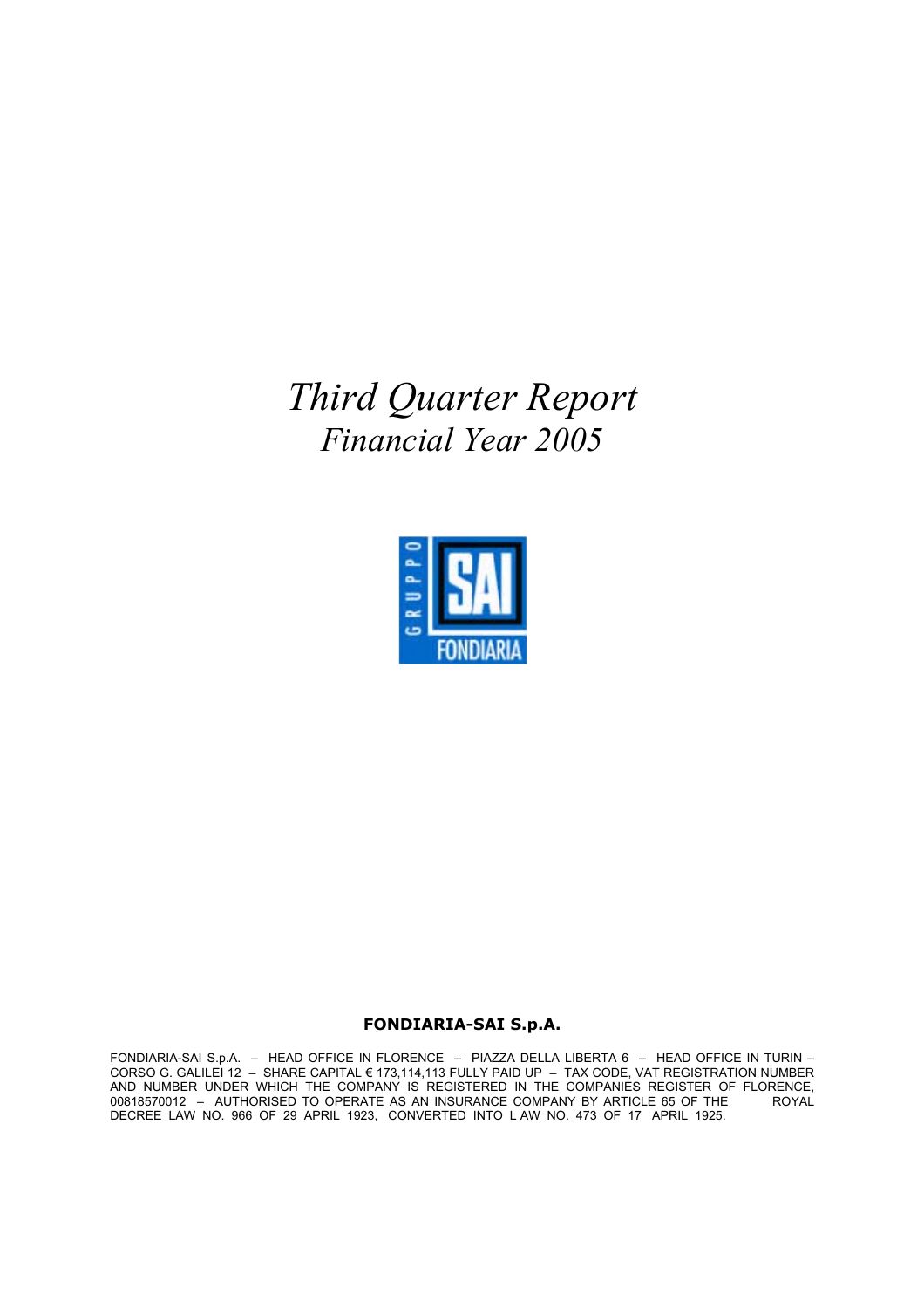*Third Quarter Report Financial Year 2005*



# **FONDIARIA-SAI S.p.A.**

FONDIARIA-SAI S.p.A. – HEAD OFFICE IN FLORENCE – PIAZZA DELLA LIBERTA 6 – HEAD OFFICE IN TURIN – CORSO G. GALILEI 12 – SHARE CAPITAL € 173,114,113 FULLY PAID UP – TAX CODE, VAT REGISTRATION NUMBER AND NUMBER UNDER WHICH THE COMPANY IS REGISTERED IN THE COMPANIES REGISTER OF FLORENCE, 00818570012 – AUTHORISED TO OPERATE AS AN INSURANCE COMPANY BY ARTICLE 65 OF THE ROYAL DECREE LAW NO. 966 OF 29 APRIL 1923, CONVERTED INTO L AW NO. 473 OF 17 APRIL 1925.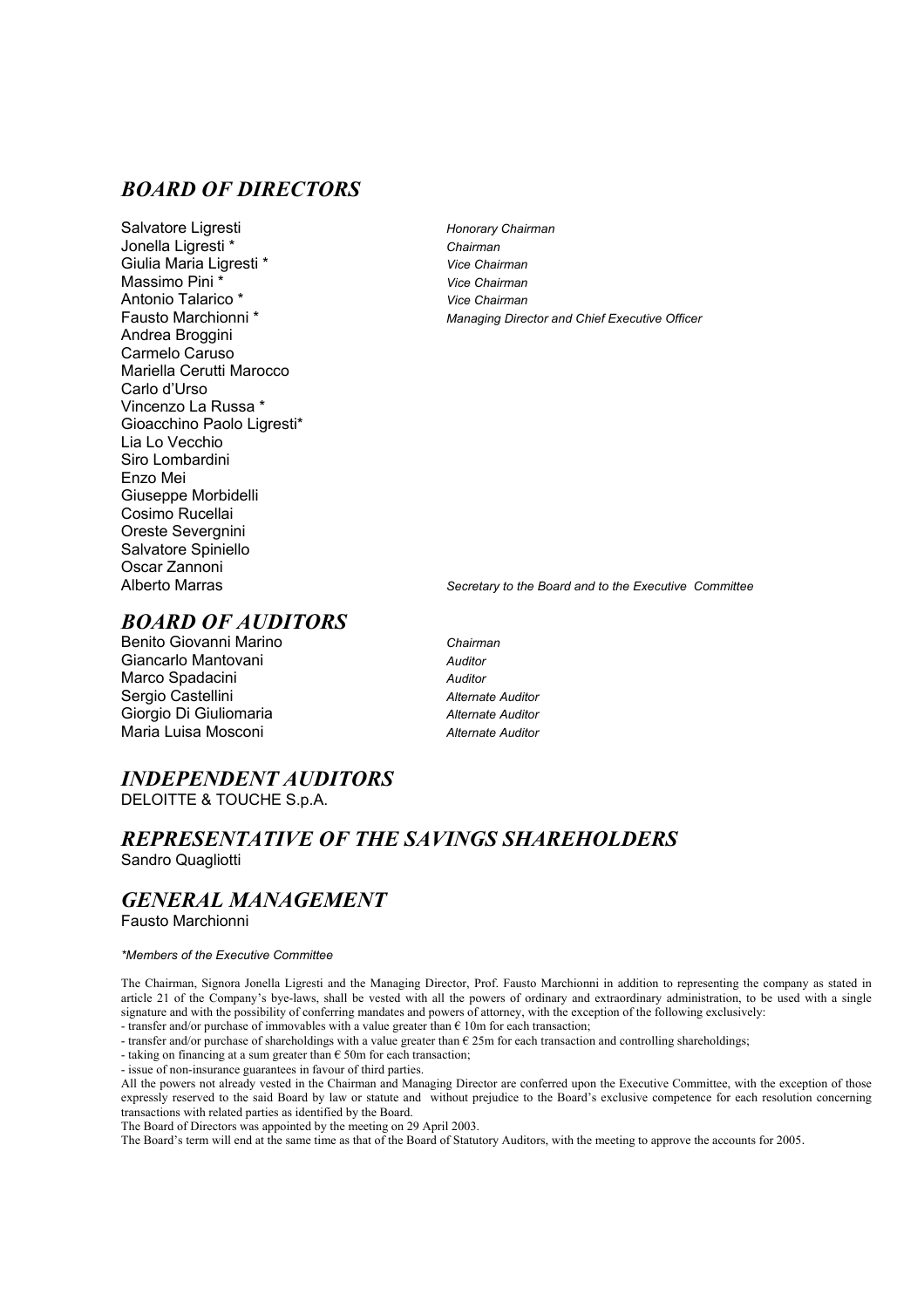# *BOARD OF DIRECTORS*

Salvatore Ligresti *Honorary Chairman*  Jonella Ligresti \* *Chairman* Giulia Maria Ligresti \* *Vice Chairman*  Massimo Pini \* *Vice Chairman*  Antonio Talarico \* *Vice Chairman*  Andrea Broggini Carmelo Caruso Mariella Cerutti Marocco Carlo d'Urso Vincenzo La Russa \* Gioacchino Paolo Ligresti\* Lia Lo Vecchio Siro Lombardini Enzo Mei Giuseppe Morbidelli Cosimo Rucellai Oreste Severgnini Salvatore Spiniello Oscar Zannoni

Managing Director and Chief Executive Officer

Secretary to the Board and to the Executive Committee

# *BOARD OF AUDITORS*

- Benito Giovanni Marino *Chairman* Giancarlo Mantovani *Auditor* Marco Spadacini *Auditor* Sergio Castellini *Alternate Auditor* Giorgio Di Giuliomaria *Alternate Auditor* Maria Luisa Mosconi *Alternate Auditor* 
	-

# *INDEPENDENT AUDITORS*

DELOITTE & TOUCHE S.p.A.

# *REPRESENTATIVE OF THE SAVINGS SHAREHOLDERS*

Sandro Quagliotti

# *GENERAL MANAGEMENT*

Fausto Marchionni

#### *\*Members of the Executive Committee*

The Chairman, Signora Jonella Ligresti and the Managing Director, Prof. Fausto Marchionni in addition to representing the company as stated in article 21 of the Company's bye-laws, shall be vested with all the powers of ordinary and extraordinary administration, to be used with a single signature and with the possibility of conferring mandates and powers of attorney, with the exception of the following exclusively: - transfer and/or purchase of immovables with a value greater than  $\epsilon$  10m for each transaction;

- transfer and/or purchase of shareholdings with a value greater than  $\epsilon$  25m for each transaction and controlling shareholdings;

- taking on financing at a sum greater than  $\epsilon$  50m for each transaction;

- issue of non-insurance guarantees in favour of third parties.

All the powers not already vested in the Chairman and Managing Director are conferred upon the Executive Committee, with the exception of those expressly reserved to the said Board by law or statute and without prejudice to the Board's exclusive competence for each resolution concerning transactions with related parties as identified by the Board.

The Board of Directors was appointed by the meeting on 29 April 2003.

The Board's term will end at the same time as that of the Board of Statutory Auditors, with the meeting to approve the accounts for 2005.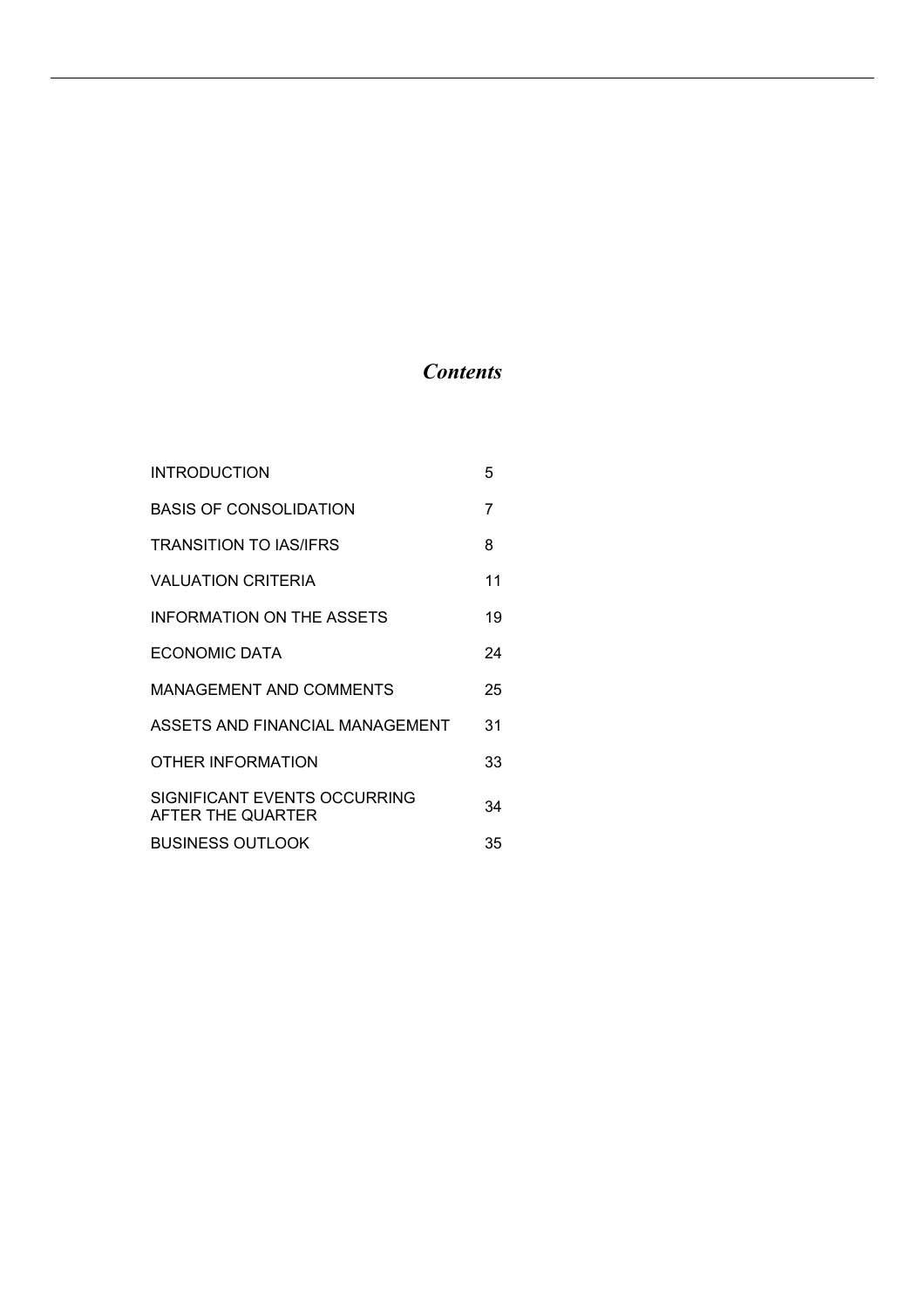# *Contents*

| <b>INTRODUCTION</b>                               | 5  |
|---------------------------------------------------|----|
| <b>BASIS OF CONSOLIDATION</b>                     | 7  |
| <b>TRANSITION TO IAS/IFRS</b>                     | 8  |
| <b>VALUATION CRITERIA</b>                         | 11 |
| <b>INFORMATION ON THE ASSETS</b>                  | 19 |
| ECONOMIC DATA                                     | 24 |
| MANAGEMENT AND COMMENTS                           | 25 |
| ASSETS AND FINANCIAL MANAGEMENT                   | 31 |
| OTHER INFORMATION                                 | 33 |
| SIGNIFICANT EVENTS OCCURRING<br>AFTER THE QUARTER | 34 |
| <b>BUSINESS OUTLOOK</b>                           | 35 |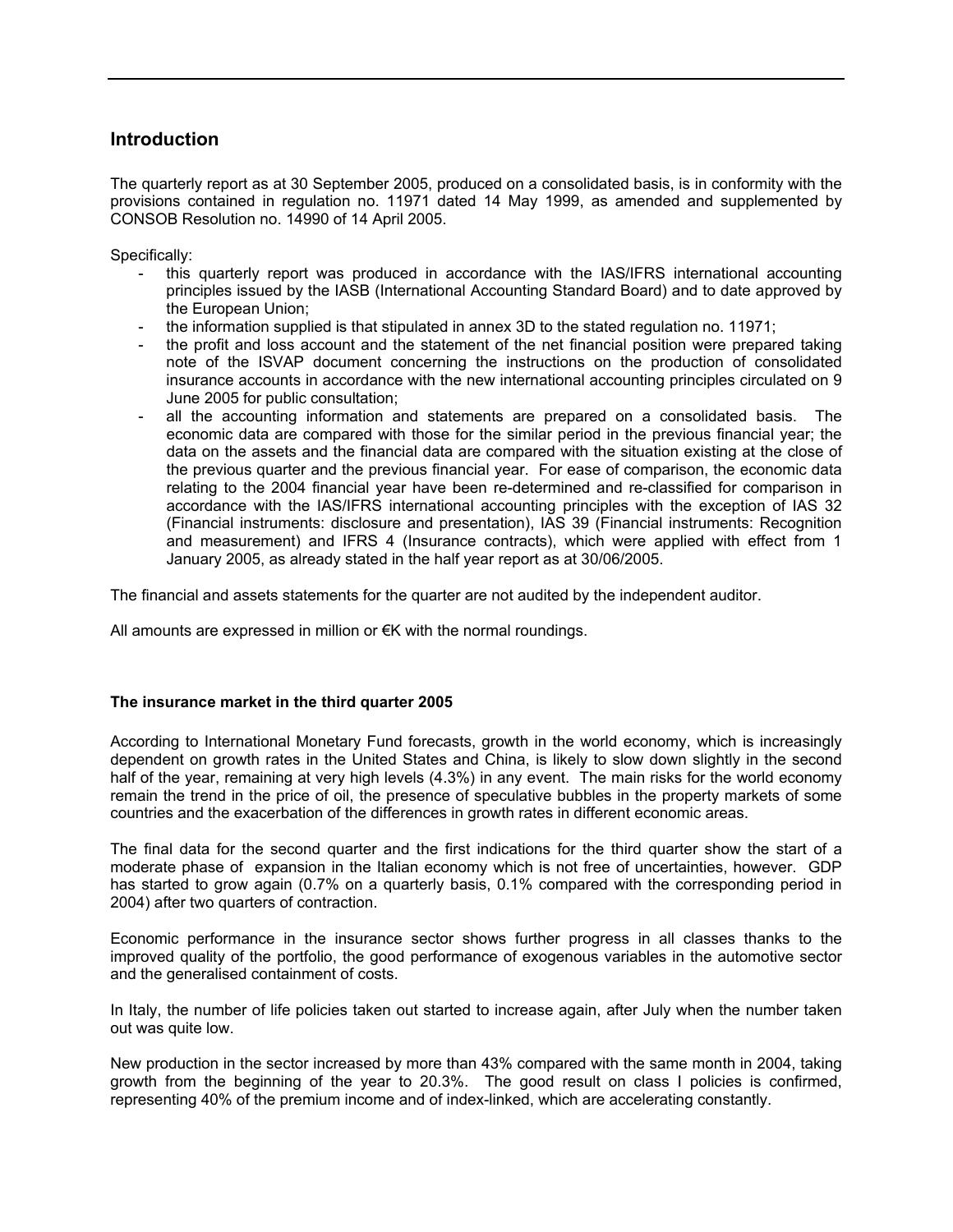# **Introduction**

The quarterly report as at 30 September 2005, produced on a consolidated basis, is in conformity with the provisions contained in regulation no. 11971 dated 14 May 1999, as amended and supplemented by CONSOB Resolution no. 14990 of 14 April 2005.

Specifically:

- this quarterly report was produced in accordance with the IAS/IFRS international accounting principles issued by the IASB (International Accounting Standard Board) and to date approved by the European Union;
- the information supplied is that stipulated in annex 3D to the stated regulation no. 11971;
- the profit and loss account and the statement of the net financial position were prepared taking note of the ISVAP document concerning the instructions on the production of consolidated insurance accounts in accordance with the new international accounting principles circulated on 9 June 2005 for public consultation;
- all the accounting information and statements are prepared on a consolidated basis. The economic data are compared with those for the similar period in the previous financial year; the data on the assets and the financial data are compared with the situation existing at the close of the previous quarter and the previous financial year. For ease of comparison, the economic data relating to the 2004 financial year have been re-determined and re-classified for comparison in accordance with the IAS/IFRS international accounting principles with the exception of IAS 32 (Financial instruments: disclosure and presentation), IAS 39 (Financial instruments: Recognition and measurement) and IFRS 4 (Insurance contracts), which were applied with effect from 1 January 2005, as already stated in the half year report as at 30/06/2005.

The financial and assets statements for the quarter are not audited by the independent auditor.

All amounts are expressed in million or €K with the normal roundings.

# **The insurance market in the third quarter 2005**

According to International Monetary Fund forecasts, growth in the world economy, which is increasingly dependent on growth rates in the United States and China, is likely to slow down slightly in the second half of the year, remaining at very high levels (4.3%) in any event. The main risks for the world economy remain the trend in the price of oil, the presence of speculative bubbles in the property markets of some countries and the exacerbation of the differences in growth rates in different economic areas.

The final data for the second quarter and the first indications for the third quarter show the start of a moderate phase of expansion in the Italian economy which is not free of uncertainties, however. GDP has started to grow again (0.7% on a quarterly basis, 0.1% compared with the corresponding period in 2004) after two quarters of contraction.

Economic performance in the insurance sector shows further progress in all classes thanks to the improved quality of the portfolio, the good performance of exogenous variables in the automotive sector and the generalised containment of costs.

In Italy, the number of life policies taken out started to increase again, after July when the number taken out was quite low.

New production in the sector increased by more than 43% compared with the same month in 2004, taking growth from the beginning of the year to 20.3%. The good result on class I policies is confirmed, representing 40% of the premium income and of index-linked, which are accelerating constantly.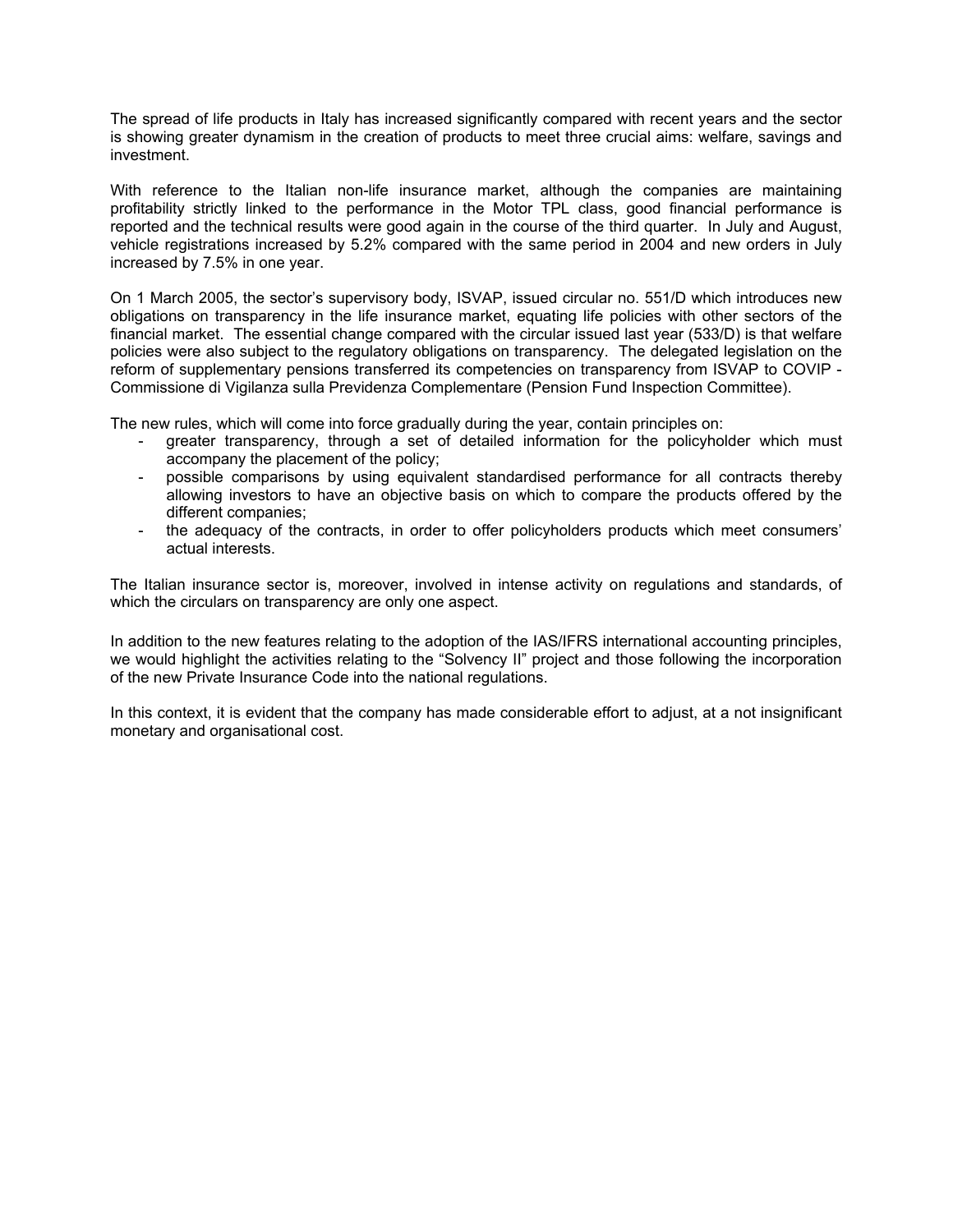The spread of life products in Italy has increased significantly compared with recent years and the sector is showing greater dynamism in the creation of products to meet three crucial aims: welfare, savings and investment.

With reference to the Italian non-life insurance market, although the companies are maintaining profitability strictly linked to the performance in the Motor TPL class, good financial performance is reported and the technical results were good again in the course of the third quarter. In July and August, vehicle registrations increased by 5.2% compared with the same period in 2004 and new orders in July increased by 7.5% in one year.

On 1 March 2005, the sector's supervisory body, ISVAP, issued circular no. 551/D which introduces new obligations on transparency in the life insurance market, equating life policies with other sectors of the financial market. The essential change compared with the circular issued last year (533/D) is that welfare policies were also subject to the regulatory obligations on transparency. The delegated legislation on the reform of supplementary pensions transferred its competencies on transparency from ISVAP to COVIP - Commissione di Vigilanza sulla Previdenza Complementare (Pension Fund Inspection Committee).

The new rules, which will come into force gradually during the year, contain principles on:

- greater transparency, through a set of detailed information for the policyholder which must accompany the placement of the policy;
- possible comparisons by using equivalent standardised performance for all contracts thereby allowing investors to have an objective basis on which to compare the products offered by the different companies;
- the adequacy of the contracts, in order to offer policyholders products which meet consumers' actual interests.

The Italian insurance sector is, moreover, involved in intense activity on regulations and standards, of which the circulars on transparency are only one aspect.

In addition to the new features relating to the adoption of the IAS/IFRS international accounting principles, we would highlight the activities relating to the "Solvency II" project and those following the incorporation of the new Private Insurance Code into the national regulations.

In this context, it is evident that the company has made considerable effort to adjust, at a not insignificant monetary and organisational cost.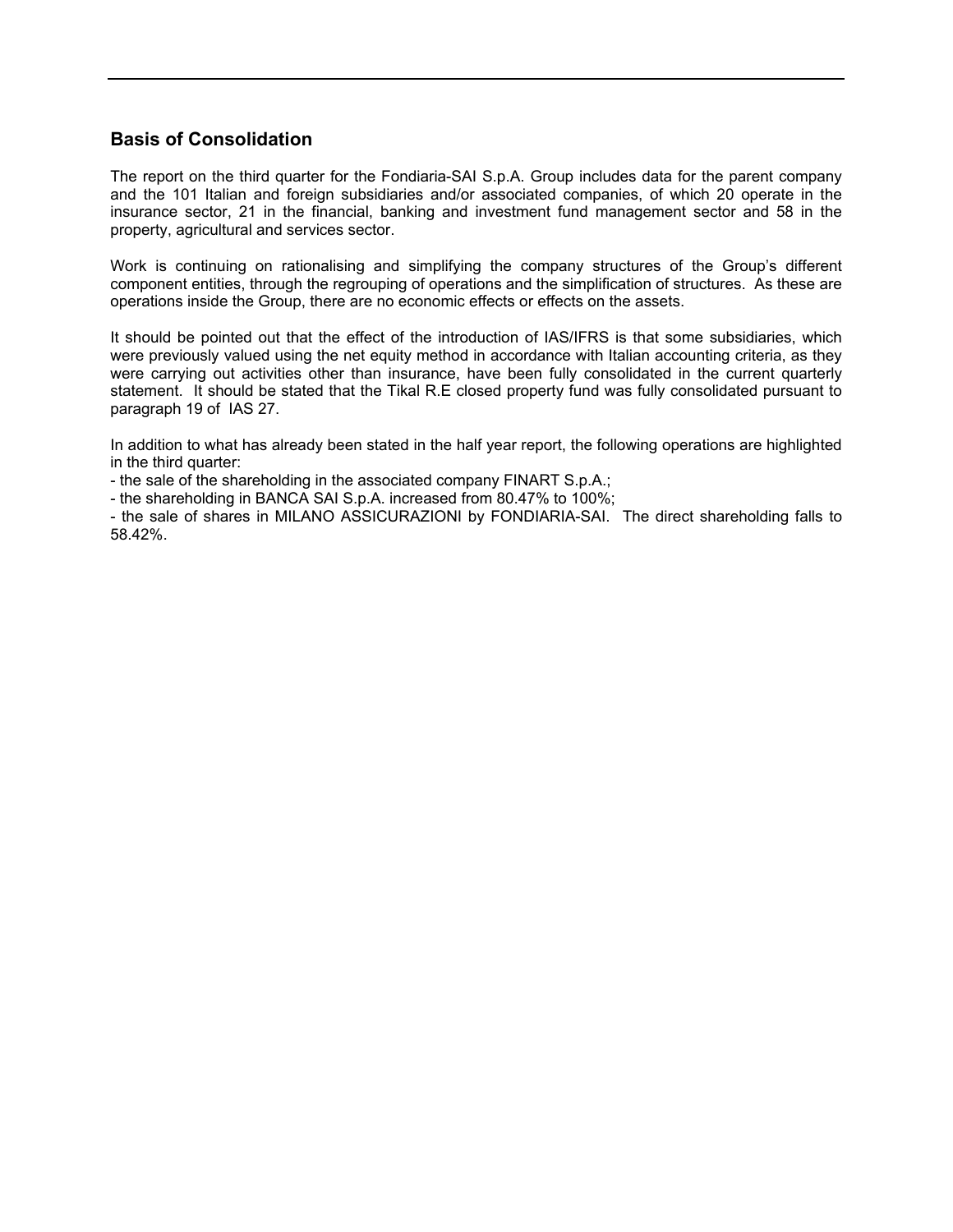# **Basis of Consolidation**

The report on the third quarter for the Fondiaria-SAI S.p.A. Group includes data for the parent company and the 101 Italian and foreign subsidiaries and/or associated companies, of which 20 operate in the insurance sector, 21 in the financial, banking and investment fund management sector and 58 in the property, agricultural and services sector.

Work is continuing on rationalising and simplifying the company structures of the Group's different component entities, through the regrouping of operations and the simplification of structures. As these are operations inside the Group, there are no economic effects or effects on the assets.

It should be pointed out that the effect of the introduction of IAS/IFRS is that some subsidiaries, which were previously valued using the net equity method in accordance with Italian accounting criteria, as they were carrying out activities other than insurance, have been fully consolidated in the current quarterly statement. It should be stated that the Tikal R.E closed property fund was fully consolidated pursuant to paragraph 19 of IAS 27.

In addition to what has already been stated in the half year report, the following operations are highlighted in the third quarter:

- the sale of the shareholding in the associated company FINART S.p.A.;

- the shareholding in BANCA SAI S.p.A. increased from 80.47% to 100%;

- the sale of shares in MILANO ASSICURAZIONI by FONDIARIA-SAI. The direct shareholding falls to 58.42%.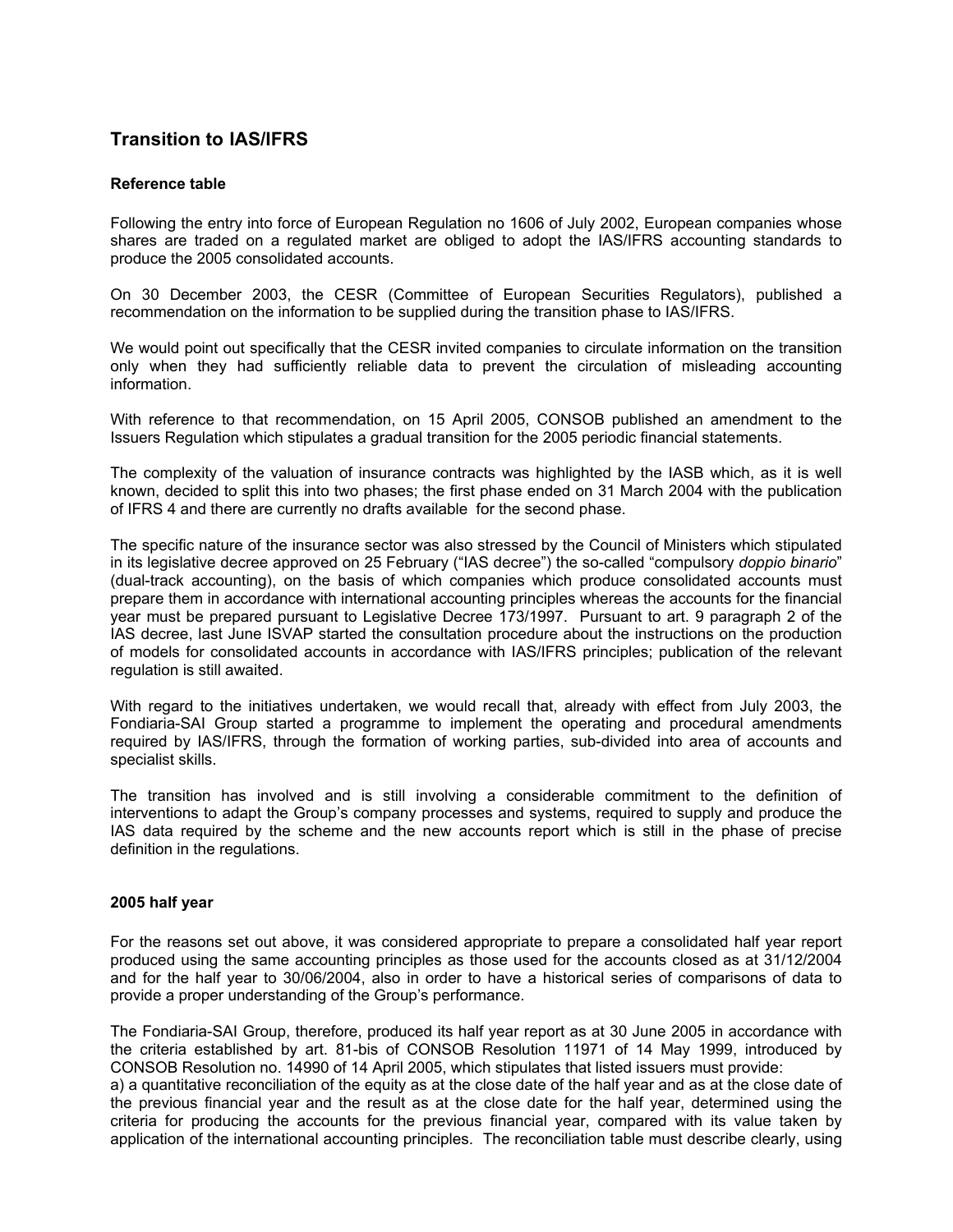# **Transition to IAS/IFRS**

# **Reference table**

Following the entry into force of European Regulation no 1606 of July 2002, European companies whose shares are traded on a regulated market are obliged to adopt the IAS/IFRS accounting standards to produce the 2005 consolidated accounts.

On 30 December 2003, the CESR (Committee of European Securities Regulators), published a recommendation on the information to be supplied during the transition phase to IAS/IFRS.

We would point out specifically that the CESR invited companies to circulate information on the transition only when they had sufficiently reliable data to prevent the circulation of misleading accounting information.

With reference to that recommendation, on 15 April 2005, CONSOB published an amendment to the Issuers Regulation which stipulates a gradual transition for the 2005 periodic financial statements.

The complexity of the valuation of insurance contracts was highlighted by the IASB which, as it is well known, decided to split this into two phases; the first phase ended on 31 March 2004 with the publication of IFRS 4 and there are currently no drafts available for the second phase.

The specific nature of the insurance sector was also stressed by the Council of Ministers which stipulated in its legislative decree approved on 25 February ("IAS decree") the so-called "compulsory *doppio binario*" (dual-track accounting), on the basis of which companies which produce consolidated accounts must prepare them in accordance with international accounting principles whereas the accounts for the financial year must be prepared pursuant to Legislative Decree 173/1997. Pursuant to art. 9 paragraph 2 of the IAS decree, last June ISVAP started the consultation procedure about the instructions on the production of models for consolidated accounts in accordance with IAS/IFRS principles; publication of the relevant regulation is still awaited.

With regard to the initiatives undertaken, we would recall that, already with effect from July 2003, the Fondiaria-SAI Group started a programme to implement the operating and procedural amendments required by IAS/IFRS, through the formation of working parties, sub-divided into area of accounts and specialist skills.

The transition has involved and is still involving a considerable commitment to the definition of interventions to adapt the Group's company processes and systems, required to supply and produce the IAS data required by the scheme and the new accounts report which is still in the phase of precise definition in the regulations.

# **2005 half year**

For the reasons set out above, it was considered appropriate to prepare a consolidated half year report produced using the same accounting principles as those used for the accounts closed as at 31/12/2004 and for the half year to 30/06/2004, also in order to have a historical series of comparisons of data to provide a proper understanding of the Group's performance.

The Fondiaria-SAI Group, therefore, produced its half year report as at 30 June 2005 in accordance with the criteria established by art. 81-bis of CONSOB Resolution 11971 of 14 May 1999, introduced by CONSOB Resolution no. 14990 of 14 April 2005, which stipulates that listed issuers must provide: a) a quantitative reconciliation of the equity as at the close date of the half year and as at the close date of the previous financial year and the result as at the close date for the half year, determined using the criteria for producing the accounts for the previous financial year, compared with its value taken by application of the international accounting principles. The reconciliation table must describe clearly, using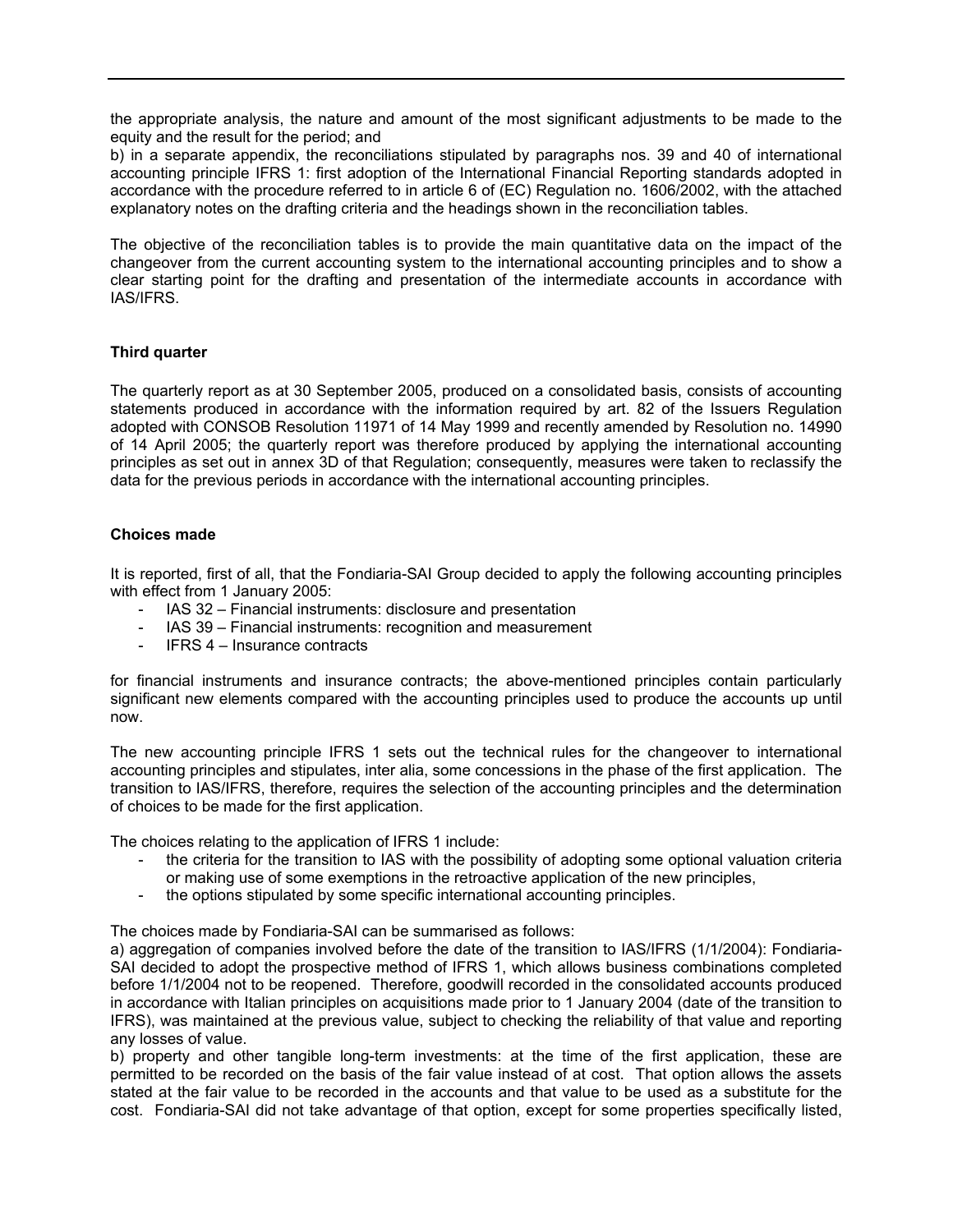the appropriate analysis, the nature and amount of the most significant adjustments to be made to the equity and the result for the period; and

b) in a separate appendix, the reconciliations stipulated by paragraphs nos. 39 and 40 of international accounting principle IFRS 1: first adoption of the International Financial Reporting standards adopted in accordance with the procedure referred to in article 6 of (EC) Regulation no. 1606/2002, with the attached explanatory notes on the drafting criteria and the headings shown in the reconciliation tables.

The objective of the reconciliation tables is to provide the main quantitative data on the impact of the changeover from the current accounting system to the international accounting principles and to show a clear starting point for the drafting and presentation of the intermediate accounts in accordance with IAS/IFRS.

# **Third quarter**

The quarterly report as at 30 September 2005, produced on a consolidated basis, consists of accounting statements produced in accordance with the information required by art. 82 of the Issuers Regulation adopted with CONSOB Resolution 11971 of 14 May 1999 and recently amended by Resolution no. 14990 of 14 April 2005; the quarterly report was therefore produced by applying the international accounting principles as set out in annex 3D of that Regulation; consequently, measures were taken to reclassify the data for the previous periods in accordance with the international accounting principles.

# **Choices made**

It is reported, first of all, that the Fondiaria-SAI Group decided to apply the following accounting principles with effect from 1 January 2005:

- IAS 32 Financial instruments: disclosure and presentation
- IAS 39 Financial instruments: recognition and measurement
- IFRS 4 Insurance contracts

for financial instruments and insurance contracts; the above-mentioned principles contain particularly significant new elements compared with the accounting principles used to produce the accounts up until now.

The new accounting principle IFRS 1 sets out the technical rules for the changeover to international accounting principles and stipulates, inter alia, some concessions in the phase of the first application. The transition to IAS/IFRS, therefore, requires the selection of the accounting principles and the determination of choices to be made for the first application.

The choices relating to the application of IFRS 1 include:

- the criteria for the transition to IAS with the possibility of adopting some optional valuation criteria or making use of some exemptions in the retroactive application of the new principles,
- the options stipulated by some specific international accounting principles.

The choices made by Fondiaria-SAI can be summarised as follows:

a) aggregation of companies involved before the date of the transition to IAS/IFRS (1/1/2004): Fondiaria-SAI decided to adopt the prospective method of IFRS 1, which allows business combinations completed before 1/1/2004 not to be reopened. Therefore, goodwill recorded in the consolidated accounts produced in accordance with Italian principles on acquisitions made prior to 1 January 2004 (date of the transition to IFRS), was maintained at the previous value, subject to checking the reliability of that value and reporting any losses of value.

b) property and other tangible long-term investments: at the time of the first application, these are permitted to be recorded on the basis of the fair value instead of at cost. That option allows the assets stated at the fair value to be recorded in the accounts and that value to be used as a substitute for the cost. Fondiaria-SAI did not take advantage of that option, except for some properties specifically listed,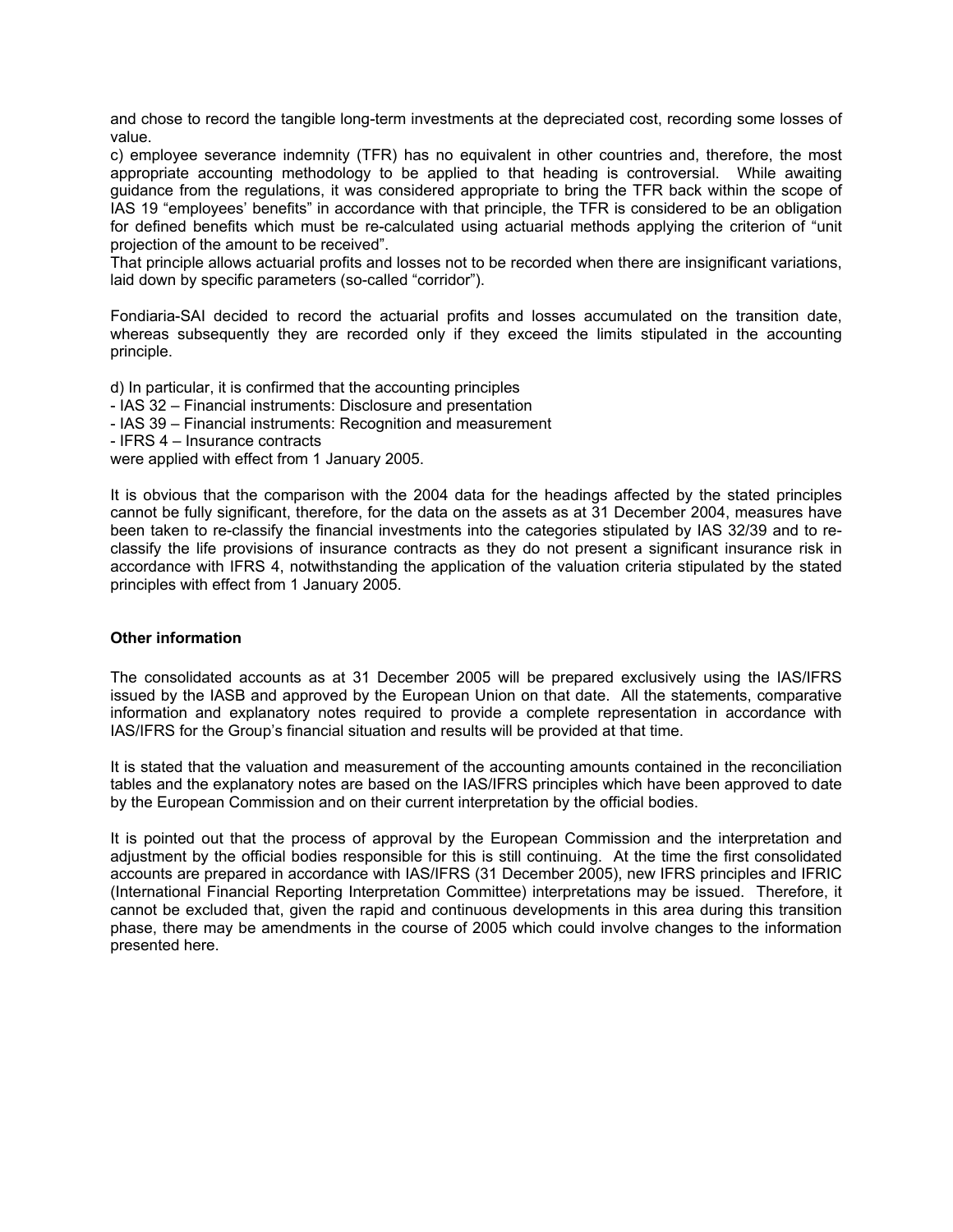and chose to record the tangible long-term investments at the depreciated cost, recording some losses of value.

c) employee severance indemnity (TFR) has no equivalent in other countries and, therefore, the most appropriate accounting methodology to be applied to that heading is controversial. While awaiting guidance from the regulations, it was considered appropriate to bring the TFR back within the scope of IAS 19 "employees' benefits" in accordance with that principle, the TFR is considered to be an obligation for defined benefits which must be re-calculated using actuarial methods applying the criterion of "unit projection of the amount to be received".

That principle allows actuarial profits and losses not to be recorded when there are insignificant variations, laid down by specific parameters (so-called "corridor").

Fondiaria-SAI decided to record the actuarial profits and losses accumulated on the transition date, whereas subsequently they are recorded only if they exceed the limits stipulated in the accounting principle.

d) In particular, it is confirmed that the accounting principles - IAS 32 – Financial instruments: Disclosure and presentation - IAS 39 – Financial instruments: Recognition and measurement - IFRS 4 – Insurance contracts were applied with effect from 1 January 2005.

It is obvious that the comparison with the 2004 data for the headings affected by the stated principles cannot be fully significant, therefore, for the data on the assets as at 31 December 2004, measures have been taken to re-classify the financial investments into the categories stipulated by IAS 32/39 and to reclassify the life provisions of insurance contracts as they do not present a significant insurance risk in accordance with IFRS 4, notwithstanding the application of the valuation criteria stipulated by the stated principles with effect from 1 January 2005.

# **Other information**

The consolidated accounts as at 31 December 2005 will be prepared exclusively using the IAS/IFRS issued by the IASB and approved by the European Union on that date. All the statements, comparative information and explanatory notes required to provide a complete representation in accordance with IAS/IFRS for the Group's financial situation and results will be provided at that time.

It is stated that the valuation and measurement of the accounting amounts contained in the reconciliation tables and the explanatory notes are based on the IAS/IFRS principles which have been approved to date by the European Commission and on their current interpretation by the official bodies.

It is pointed out that the process of approval by the European Commission and the interpretation and adjustment by the official bodies responsible for this is still continuing. At the time the first consolidated accounts are prepared in accordance with IAS/IFRS (31 December 2005), new IFRS principles and IFRIC (International Financial Reporting Interpretation Committee) interpretations may be issued. Therefore, it cannot be excluded that, given the rapid and continuous developments in this area during this transition phase, there may be amendments in the course of 2005 which could involve changes to the information presented here.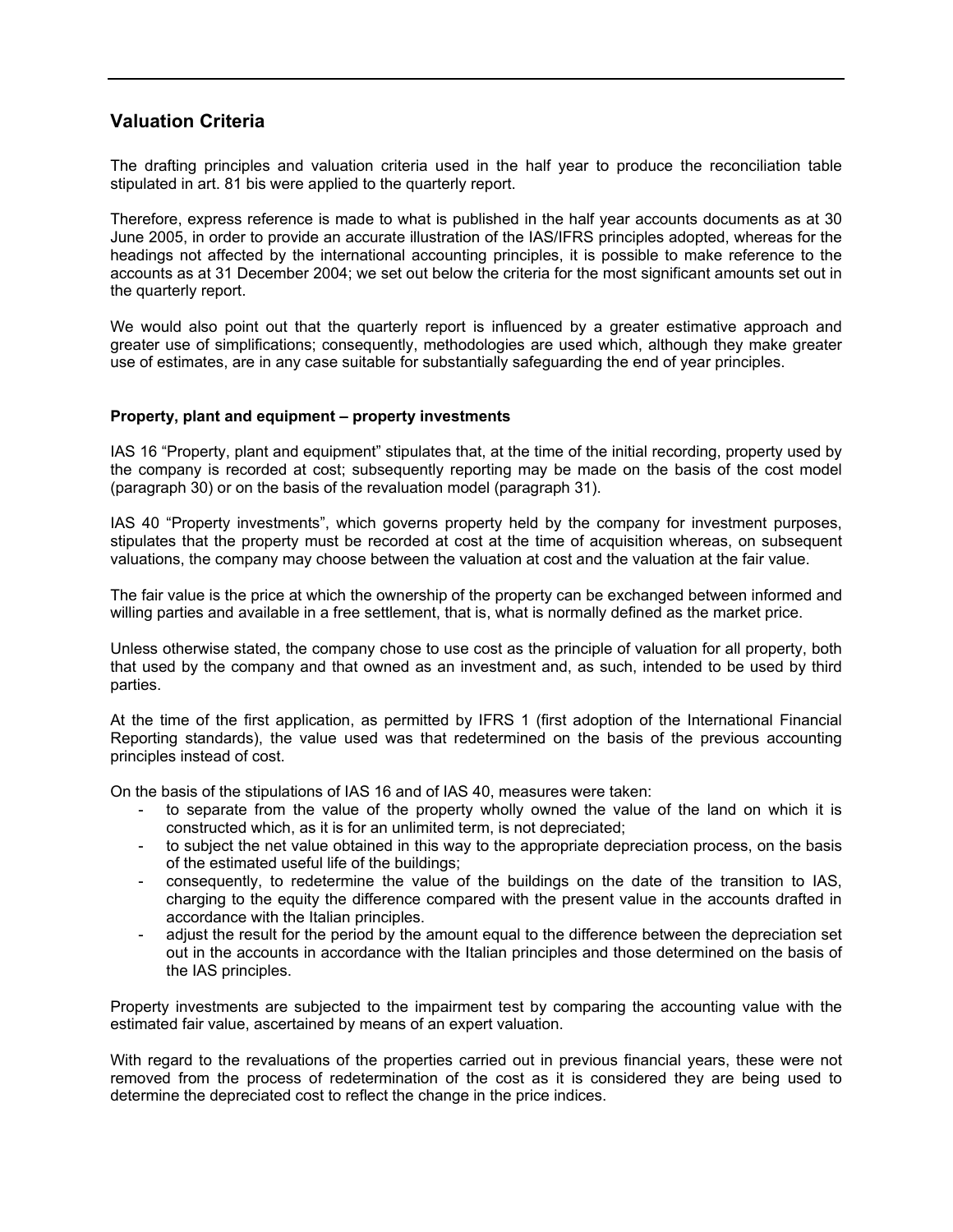# **Valuation Criteria**

The drafting principles and valuation criteria used in the half year to produce the reconciliation table stipulated in art. 81 bis were applied to the quarterly report.

Therefore, express reference is made to what is published in the half year accounts documents as at 30 June 2005, in order to provide an accurate illustration of the IAS/IFRS principles adopted, whereas for the headings not affected by the international accounting principles, it is possible to make reference to the accounts as at 31 December 2004; we set out below the criteria for the most significant amounts set out in the quarterly report.

We would also point out that the quarterly report is influenced by a greater estimative approach and greater use of simplifications; consequently, methodologies are used which, although they make greater use of estimates, are in any case suitable for substantially safeguarding the end of year principles.

# **Property, plant and equipment – property investments**

IAS 16 "Property, plant and equipment" stipulates that, at the time of the initial recording, property used by the company is recorded at cost; subsequently reporting may be made on the basis of the cost model (paragraph 30) or on the basis of the revaluation model (paragraph 31).

IAS 40 "Property investments", which governs property held by the company for investment purposes, stipulates that the property must be recorded at cost at the time of acquisition whereas, on subsequent valuations, the company may choose between the valuation at cost and the valuation at the fair value.

The fair value is the price at which the ownership of the property can be exchanged between informed and willing parties and available in a free settlement, that is, what is normally defined as the market price.

Unless otherwise stated, the company chose to use cost as the principle of valuation for all property, both that used by the company and that owned as an investment and, as such, intended to be used by third parties.

At the time of the first application, as permitted by IFRS 1 (first adoption of the International Financial Reporting standards), the value used was that redetermined on the basis of the previous accounting principles instead of cost.

On the basis of the stipulations of IAS 16 and of IAS 40, measures were taken:

- to separate from the value of the property wholly owned the value of the land on which it is constructed which, as it is for an unlimited term, is not depreciated;
- to subject the net value obtained in this way to the appropriate depreciation process, on the basis of the estimated useful life of the buildings;
- consequently, to redetermine the value of the buildings on the date of the transition to IAS, charging to the equity the difference compared with the present value in the accounts drafted in accordance with the Italian principles.
- adiust the result for the period by the amount equal to the difference between the depreciation set out in the accounts in accordance with the Italian principles and those determined on the basis of the IAS principles.

Property investments are subjected to the impairment test by comparing the accounting value with the estimated fair value, ascertained by means of an expert valuation.

With regard to the revaluations of the properties carried out in previous financial years, these were not removed from the process of redetermination of the cost as it is considered they are being used to determine the depreciated cost to reflect the change in the price indices.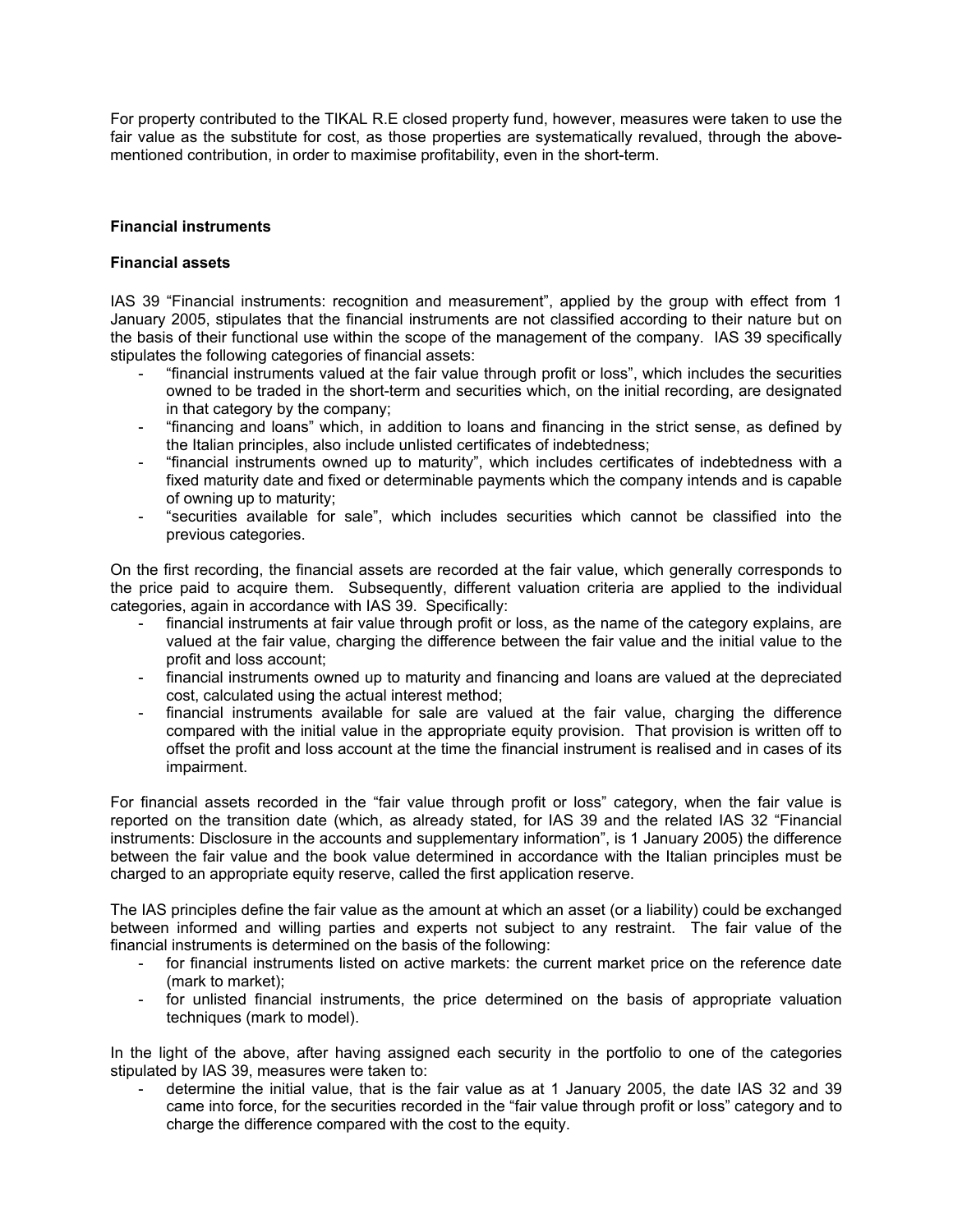For property contributed to the TIKAL R.E closed property fund, however, measures were taken to use the fair value as the substitute for cost, as those properties are systematically revalued, through the abovementioned contribution, in order to maximise profitability, even in the short-term.

# **Financial instruments**

# **Financial assets**

IAS 39 "Financial instruments: recognition and measurement", applied by the group with effect from 1 January 2005, stipulates that the financial instruments are not classified according to their nature but on the basis of their functional use within the scope of the management of the company. IAS 39 specifically stipulates the following categories of financial assets:

- "financial instruments valued at the fair value through profit or loss", which includes the securities owned to be traded in the short-term and securities which, on the initial recording, are designated in that category by the company;
- "financing and loans" which, in addition to loans and financing in the strict sense, as defined by the Italian principles, also include unlisted certificates of indebtedness;
- "financial instruments owned up to maturity", which includes certificates of indebtedness with a fixed maturity date and fixed or determinable payments which the company intends and is capable of owning up to maturity;
- "securities available for sale", which includes securities which cannot be classified into the previous categories.

On the first recording, the financial assets are recorded at the fair value, which generally corresponds to the price paid to acquire them. Subsequently, different valuation criteria are applied to the individual categories, again in accordance with IAS 39. Specifically:

- financial instruments at fair value through profit or loss, as the name of the category explains, are valued at the fair value, charging the difference between the fair value and the initial value to the profit and loss account;
- financial instruments owned up to maturity and financing and loans are valued at the depreciated cost, calculated using the actual interest method;
- financial instruments available for sale are valued at the fair value, charging the difference compared with the initial value in the appropriate equity provision. That provision is written off to offset the profit and loss account at the time the financial instrument is realised and in cases of its impairment.

For financial assets recorded in the "fair value through profit or loss" category, when the fair value is reported on the transition date (which, as already stated, for IAS 39 and the related IAS 32 "Financial instruments: Disclosure in the accounts and supplementary information", is 1 January 2005) the difference between the fair value and the book value determined in accordance with the Italian principles must be charged to an appropriate equity reserve, called the first application reserve.

The IAS principles define the fair value as the amount at which an asset (or a liability) could be exchanged between informed and willing parties and experts not subject to any restraint. The fair value of the financial instruments is determined on the basis of the following:

- for financial instruments listed on active markets: the current market price on the reference date (mark to market);
- for unlisted financial instruments, the price determined on the basis of appropriate valuation techniques (mark to model).

In the light of the above, after having assigned each security in the portfolio to one of the categories stipulated by IAS 39, measures were taken to:

- determine the initial value, that is the fair value as at 1 January 2005, the date IAS 32 and 39 came into force, for the securities recorded in the "fair value through profit or loss" category and to charge the difference compared with the cost to the equity.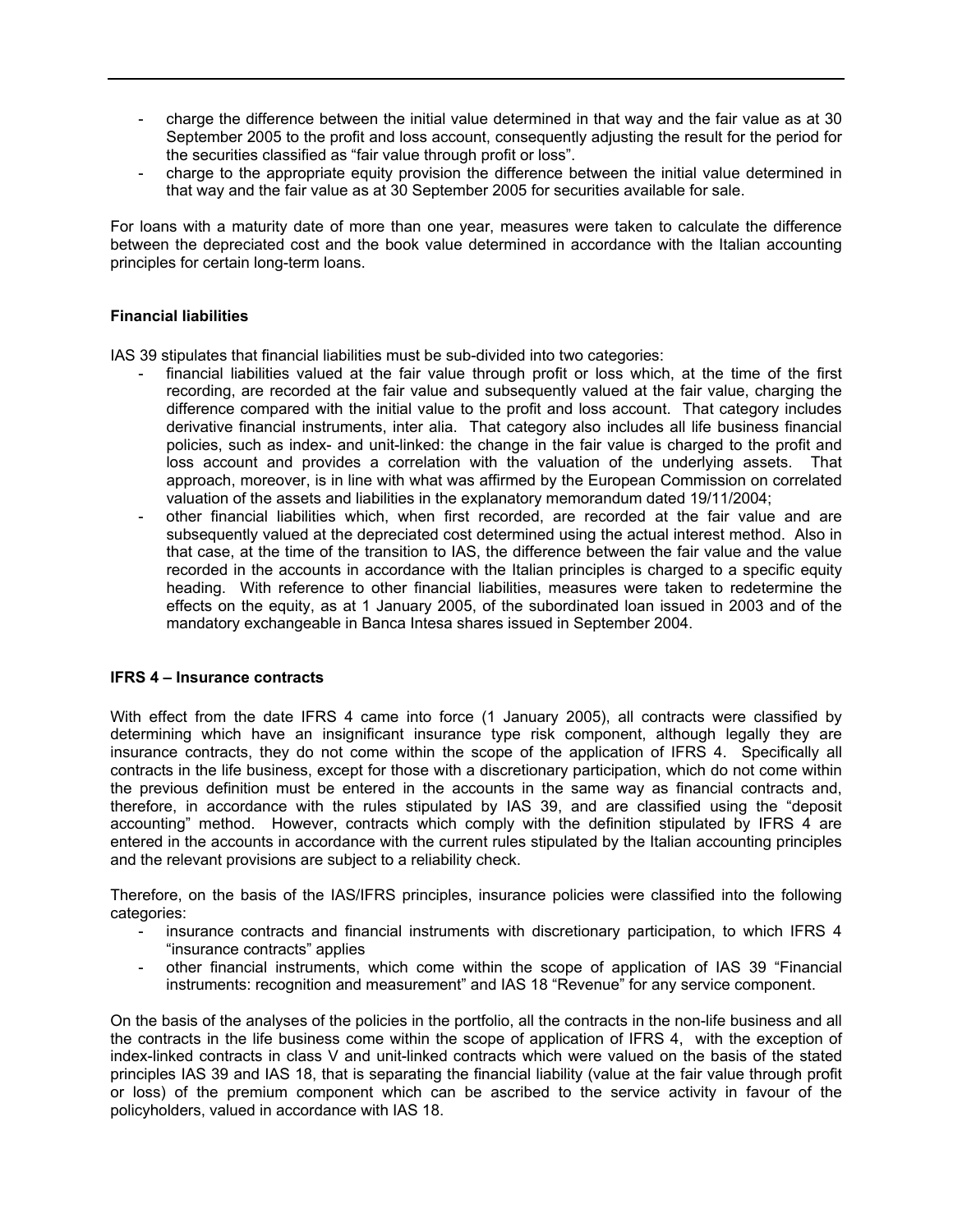- charge the difference between the initial value determined in that way and the fair value as at 30 September 2005 to the profit and loss account, consequently adjusting the result for the period for the securities classified as "fair value through profit or loss".
- charge to the appropriate equity provision the difference between the initial value determined in that way and the fair value as at 30 September 2005 for securities available for sale.

For loans with a maturity date of more than one year, measures were taken to calculate the difference between the depreciated cost and the book value determined in accordance with the Italian accounting principles for certain long-term loans.

# **Financial liabilities**

IAS 39 stipulates that financial liabilities must be sub-divided into two categories:

- financial liabilities valued at the fair value through profit or loss which, at the time of the first recording, are recorded at the fair value and subsequently valued at the fair value, charging the difference compared with the initial value to the profit and loss account. That category includes derivative financial instruments, inter alia. That category also includes all life business financial policies, such as index- and unit-linked: the change in the fair value is charged to the profit and loss account and provides a correlation with the valuation of the underlying assets. That approach, moreover, is in line with what was affirmed by the European Commission on correlated valuation of the assets and liabilities in the explanatory memorandum dated 19/11/2004;
- other financial liabilities which, when first recorded, are recorded at the fair value and are subsequently valued at the depreciated cost determined using the actual interest method. Also in that case, at the time of the transition to IAS, the difference between the fair value and the value recorded in the accounts in accordance with the Italian principles is charged to a specific equity heading. With reference to other financial liabilities, measures were taken to redetermine the effects on the equity, as at 1 January 2005, of the subordinated loan issued in 2003 and of the mandatory exchangeable in Banca Intesa shares issued in September 2004.

# **IFRS 4 – Insurance contracts**

With effect from the date IFRS 4 came into force (1 January 2005), all contracts were classified by determining which have an insignificant insurance type risk component, although legally they are insurance contracts, they do not come within the scope of the application of IFRS 4. Specifically all contracts in the life business, except for those with a discretionary participation, which do not come within the previous definition must be entered in the accounts in the same way as financial contracts and, therefore, in accordance with the rules stipulated by IAS 39, and are classified using the "deposit accounting" method. However, contracts which comply with the definition stipulated by IFRS 4 are entered in the accounts in accordance with the current rules stipulated by the Italian accounting principles and the relevant provisions are subject to a reliability check.

Therefore, on the basis of the IAS/IFRS principles, insurance policies were classified into the following categories:

- insurance contracts and financial instruments with discretionary participation, to which IFRS 4 "insurance contracts" applies
- other financial instruments, which come within the scope of application of IAS 39 "Financial instruments: recognition and measurement" and IAS 18 "Revenue" for any service component.

On the basis of the analyses of the policies in the portfolio, all the contracts in the non-life business and all the contracts in the life business come within the scope of application of IFRS 4, with the exception of index-linked contracts in class V and unit-linked contracts which were valued on the basis of the stated principles IAS 39 and IAS 18, that is separating the financial liability (value at the fair value through profit or loss) of the premium component which can be ascribed to the service activity in favour of the policyholders, valued in accordance with IAS 18.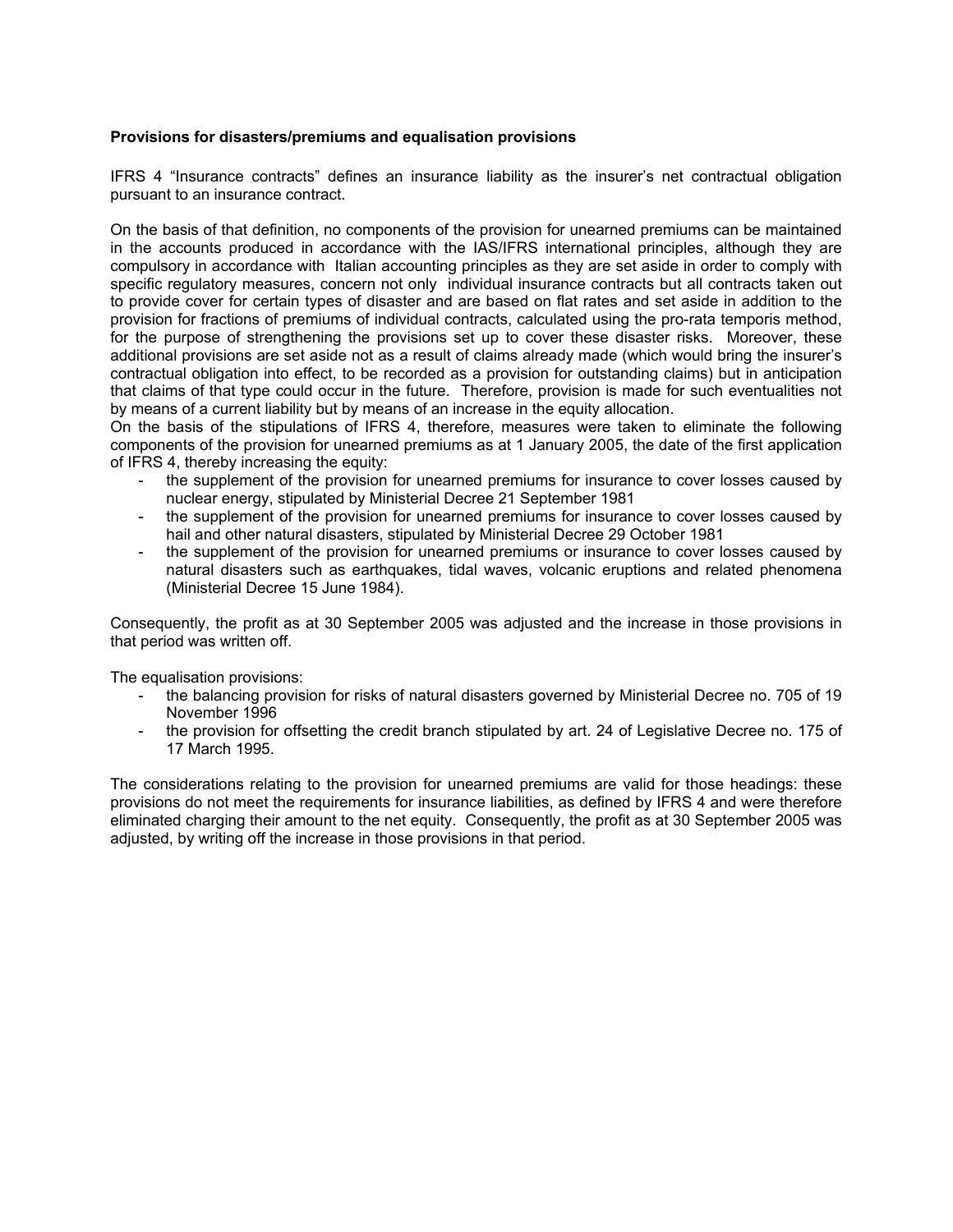# **Provisions for disasters/premiums and equalisation provisions**

IFRS 4 "Insurance contracts" defines an insurance liability as the insurer's net contractual obligation pursuant to an insurance contract.

On the basis of that definition, no components of the provision for unearned premiums can be maintained in the accounts produced in accordance with the IAS/IFRS international principles, although they are compulsory in accordance with Italian accounting principles as they are set aside in order to comply with specific regulatory measures, concern not only individual insurance contracts but all contracts taken out to provide cover for certain types of disaster and are based on flat rates and set aside in addition to the provision for fractions of premiums of individual contracts, calculated using the pro-rata temporis method, for the purpose of strengthening the provisions set up to cover these disaster risks. Moreover, these additional provisions are set aside not as a result of claims already made (which would bring the insurer's contractual obligation into effect, to be recorded as a provision for outstanding claims) but in anticipation that claims of that type could occur in the future. Therefore, provision is made for such eventualities not by means of a current liability but by means of an increase in the equity allocation.

On the basis of the stipulations of IFRS 4, therefore, measures were taken to eliminate the following components of the provision for unearned premiums as at 1 January 2005, the date of the first application of IFRS 4, thereby increasing the equity:

- the supplement of the provision for unearned premiums for insurance to cover losses caused by nuclear energy, stipulated by Ministerial Decree 21 September 1981
- the supplement of the provision for unearned premiums for insurance to cover losses caused by hail and other natural disasters, stipulated by Ministerial Decree 29 October 1981
- the supplement of the provision for unearned premiums or insurance to cover losses caused by natural disasters such as earthquakes, tidal waves, volcanic eruptions and related phenomena (Ministerial Decree 15 June 1984).

Consequently, the profit as at 30 September 2005 was adjusted and the increase in those provisions in that period was written off.

The equalisation provisions:

- the balancing provision for risks of natural disasters governed by Ministerial Decree no. 705 of 19 November 1996
- the provision for offsetting the credit branch stipulated by art. 24 of Legislative Decree no. 175 of 17 March 1995.

The considerations relating to the provision for unearned premiums are valid for those headings: these provisions do not meet the requirements for insurance liabilities, as defined by IFRS 4 and were therefore eliminated charging their amount to the net equity. Consequently, the profit as at 30 September 2005 was adjusted, by writing off the increase in those provisions in that period.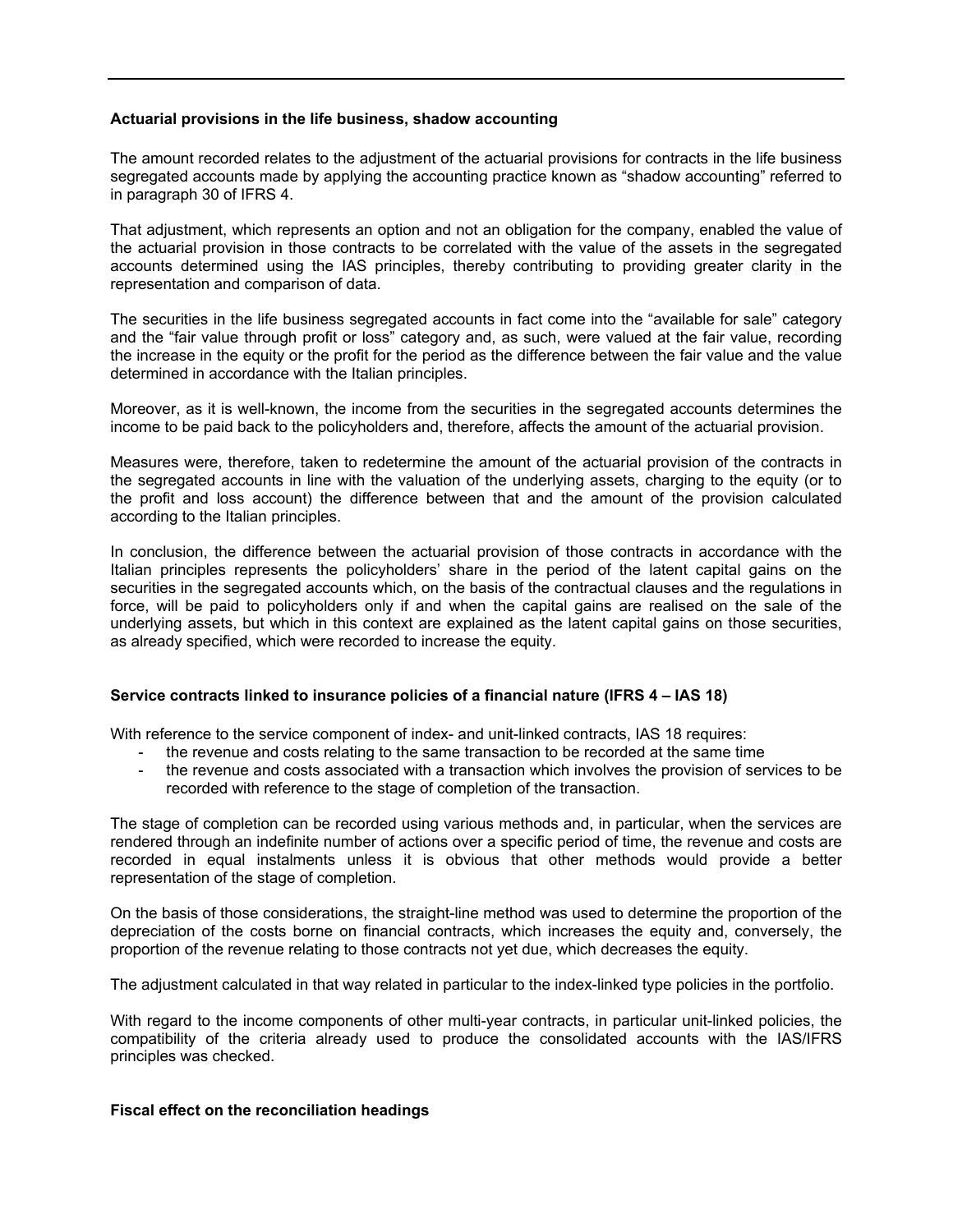# **Actuarial provisions in the life business, shadow accounting**

The amount recorded relates to the adjustment of the actuarial provisions for contracts in the life business segregated accounts made by applying the accounting practice known as "shadow accounting" referred to in paragraph 30 of IFRS 4.

That adjustment, which represents an option and not an obligation for the company, enabled the value of the actuarial provision in those contracts to be correlated with the value of the assets in the segregated accounts determined using the IAS principles, thereby contributing to providing greater clarity in the representation and comparison of data.

The securities in the life business segregated accounts in fact come into the "available for sale" category and the "fair value through profit or loss" category and, as such, were valued at the fair value, recording the increase in the equity or the profit for the period as the difference between the fair value and the value determined in accordance with the Italian principles.

Moreover, as it is well-known, the income from the securities in the segregated accounts determines the income to be paid back to the policyholders and, therefore, affects the amount of the actuarial provision.

Measures were, therefore, taken to redetermine the amount of the actuarial provision of the contracts in the segregated accounts in line with the valuation of the underlying assets, charging to the equity (or to the profit and loss account) the difference between that and the amount of the provision calculated according to the Italian principles.

In conclusion, the difference between the actuarial provision of those contracts in accordance with the Italian principles represents the policyholders' share in the period of the latent capital gains on the securities in the segregated accounts which, on the basis of the contractual clauses and the regulations in force, will be paid to policyholders only if and when the capital gains are realised on the sale of the underlying assets, but which in this context are explained as the latent capital gains on those securities, as already specified, which were recorded to increase the equity.

# **Service contracts linked to insurance policies of a financial nature (IFRS 4 – IAS 18)**

With reference to the service component of index- and unit-linked contracts, IAS 18 requires:

- the revenue and costs relating to the same transaction to be recorded at the same time
- the revenue and costs associated with a transaction which involves the provision of services to be recorded with reference to the stage of completion of the transaction.

The stage of completion can be recorded using various methods and, in particular, when the services are rendered through an indefinite number of actions over a specific period of time, the revenue and costs are recorded in equal instalments unless it is obvious that other methods would provide a better representation of the stage of completion.

On the basis of those considerations, the straight-line method was used to determine the proportion of the depreciation of the costs borne on financial contracts, which increases the equity and, conversely, the proportion of the revenue relating to those contracts not yet due, which decreases the equity.

The adjustment calculated in that way related in particular to the index-linked type policies in the portfolio.

With regard to the income components of other multi-year contracts, in particular unit-linked policies, the compatibility of the criteria already used to produce the consolidated accounts with the IAS/IFRS principles was checked.

#### **Fiscal effect on the reconciliation headings**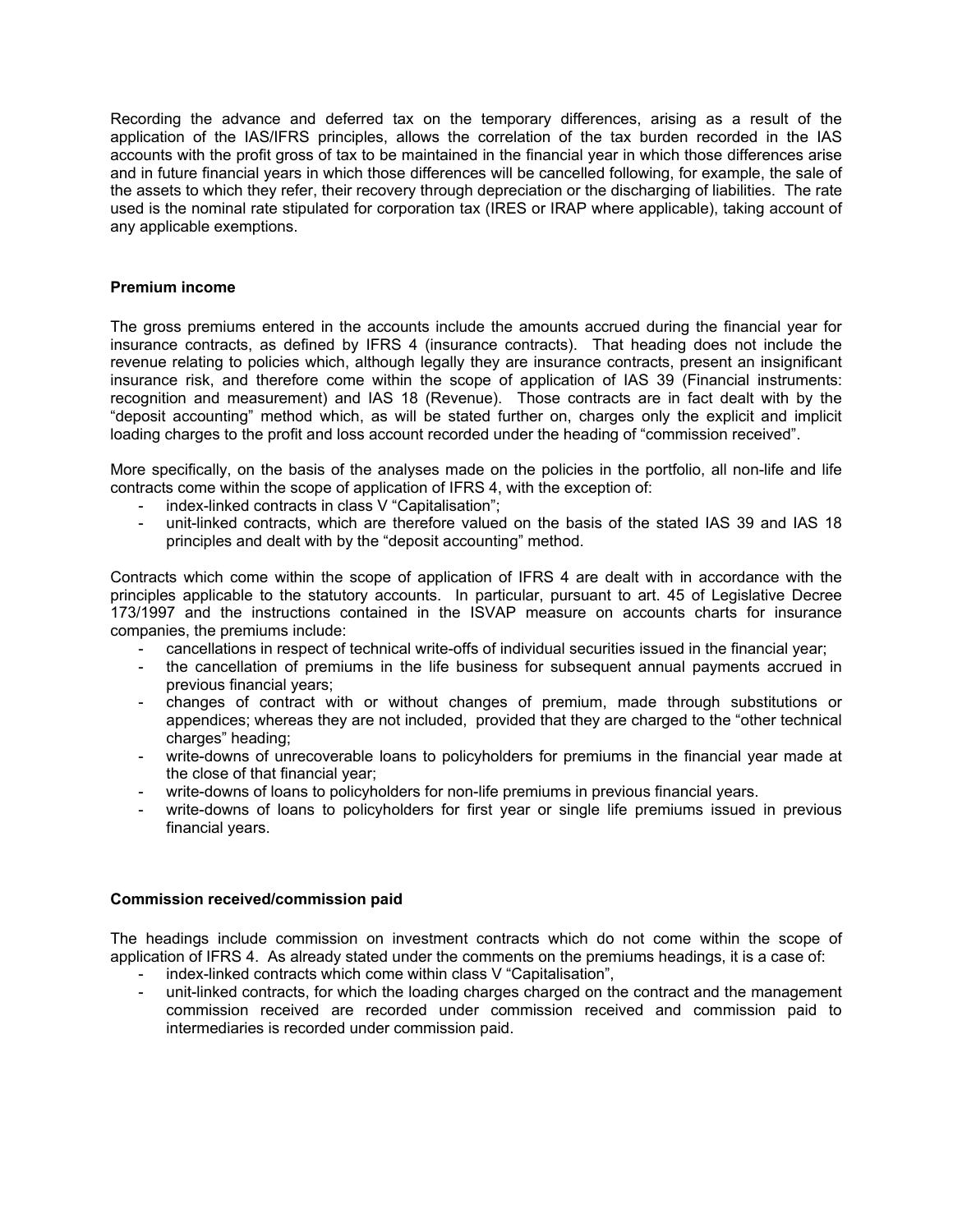Recording the advance and deferred tax on the temporary differences, arising as a result of the application of the IAS/IFRS principles, allows the correlation of the tax burden recorded in the IAS accounts with the profit gross of tax to be maintained in the financial year in which those differences arise and in future financial years in which those differences will be cancelled following, for example, the sale of the assets to which they refer, their recovery through depreciation or the discharging of liabilities. The rate used is the nominal rate stipulated for corporation tax (IRES or IRAP where applicable), taking account of any applicable exemptions.

# **Premium income**

The gross premiums entered in the accounts include the amounts accrued during the financial year for insurance contracts, as defined by IFRS 4 (insurance contracts). That heading does not include the revenue relating to policies which, although legally they are insurance contracts, present an insignificant insurance risk, and therefore come within the scope of application of IAS 39 (Financial instruments: recognition and measurement) and IAS 18 (Revenue). Those contracts are in fact dealt with by the "deposit accounting" method which, as will be stated further on, charges only the explicit and implicit loading charges to the profit and loss account recorded under the heading of "commission received".

More specifically, on the basis of the analyses made on the policies in the portfolio, all non-life and life contracts come within the scope of application of IFRS 4, with the exception of:

- index-linked contracts in class V "Capitalisation";
- unit-linked contracts, which are therefore valued on the basis of the stated IAS 39 and IAS 18 principles and dealt with by the "deposit accounting" method.

Contracts which come within the scope of application of IFRS 4 are dealt with in accordance with the principles applicable to the statutory accounts. In particular, pursuant to art. 45 of Legislative Decree 173/1997 and the instructions contained in the ISVAP measure on accounts charts for insurance companies, the premiums include:

- cancellations in respect of technical write-offs of individual securities issued in the financial year;
- the cancellation of premiums in the life business for subsequent annual payments accrued in previous financial years;
- changes of contract with or without changes of premium, made through substitutions or appendices; whereas they are not included, provided that they are charged to the "other technical charges" heading:
- write-downs of unrecoverable loans to policyholders for premiums in the financial year made at the close of that financial year;
- write-downs of loans to policyholders for non-life premiums in previous financial years.
- write-downs of loans to policyholders for first year or single life premiums issued in previous financial years.

# **Commission received/commission paid**

The headings include commission on investment contracts which do not come within the scope of application of IFRS 4. As already stated under the comments on the premiums headings, it is a case of:

- index-linked contracts which come within class V "Capitalisation",
- unit-linked contracts, for which the loading charges charged on the contract and the management commission received are recorded under commission received and commission paid to intermediaries is recorded under commission paid.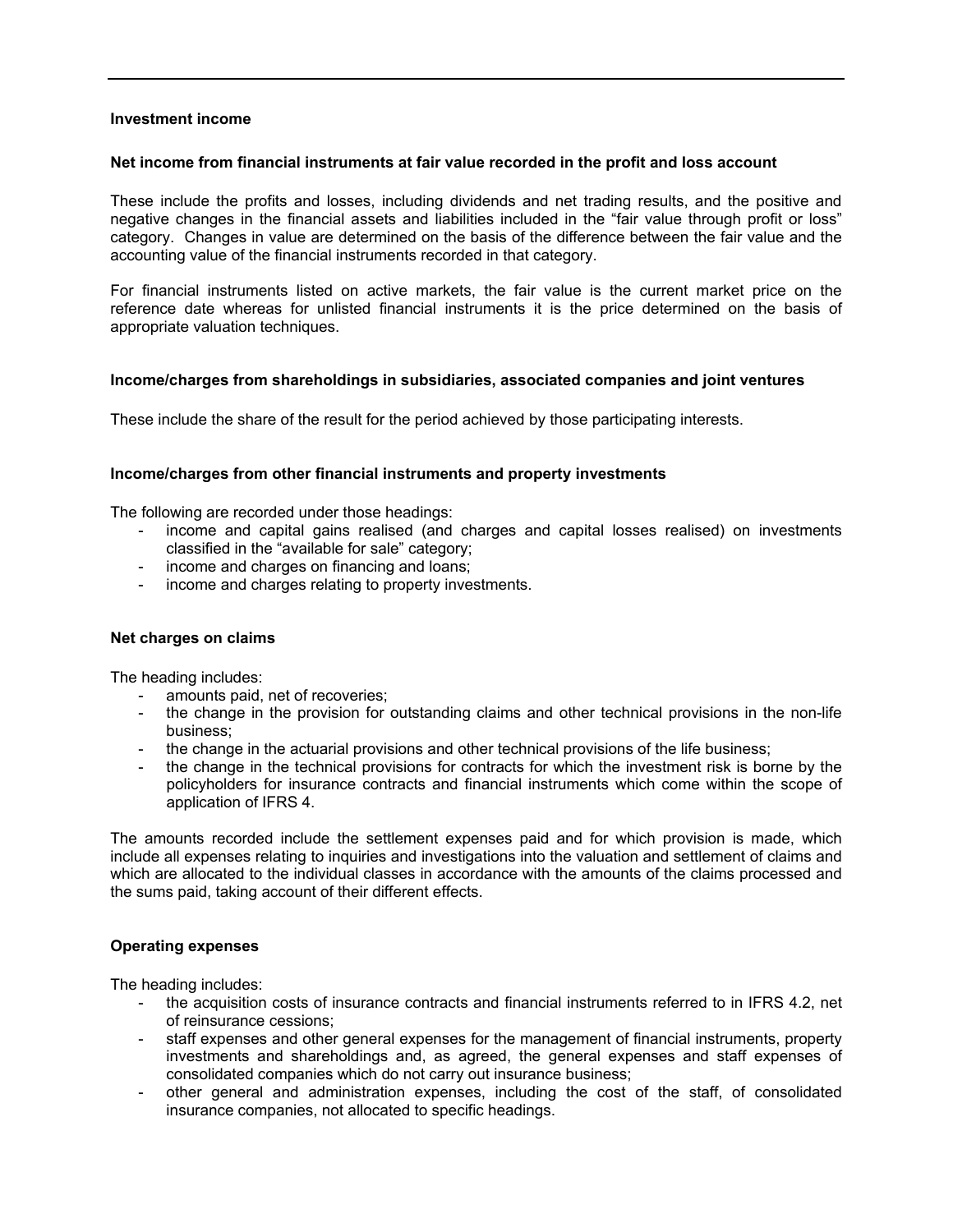# **Investment income**

# **Net income from financial instruments at fair value recorded in the profit and loss account**

These include the profits and losses, including dividends and net trading results, and the positive and negative changes in the financial assets and liabilities included in the "fair value through profit or loss" category. Changes in value are determined on the basis of the difference between the fair value and the accounting value of the financial instruments recorded in that category.

For financial instruments listed on active markets, the fair value is the current market price on the reference date whereas for unlisted financial instruments it is the price determined on the basis of appropriate valuation techniques.

# **Income/charges from shareholdings in subsidiaries, associated companies and joint ventures**

These include the share of the result for the period achieved by those participating interests.

# **Income/charges from other financial instruments and property investments**

The following are recorded under those headings:

- income and capital gains realised (and charges and capital losses realised) on investments classified in the "available for sale" category;
- income and charges on financing and loans;
- income and charges relating to property investments.

# **Net charges on claims**

The heading includes:

- amounts paid, net of recoveries;
- the change in the provision for outstanding claims and other technical provisions in the non-life business;
- the change in the actuarial provisions and other technical provisions of the life business;
- the change in the technical provisions for contracts for which the investment risk is borne by the policyholders for insurance contracts and financial instruments which come within the scope of application of IFRS 4.

The amounts recorded include the settlement expenses paid and for which provision is made, which include all expenses relating to inquiries and investigations into the valuation and settlement of claims and which are allocated to the individual classes in accordance with the amounts of the claims processed and the sums paid, taking account of their different effects.

# **Operating expenses**

The heading includes:

- the acquisition costs of insurance contracts and financial instruments referred to in IFRS 4.2, net of reinsurance cessions;
- staff expenses and other general expenses for the management of financial instruments, property investments and shareholdings and, as agreed, the general expenses and staff expenses of consolidated companies which do not carry out insurance business;
- other general and administration expenses, including the cost of the staff, of consolidated insurance companies, not allocated to specific headings.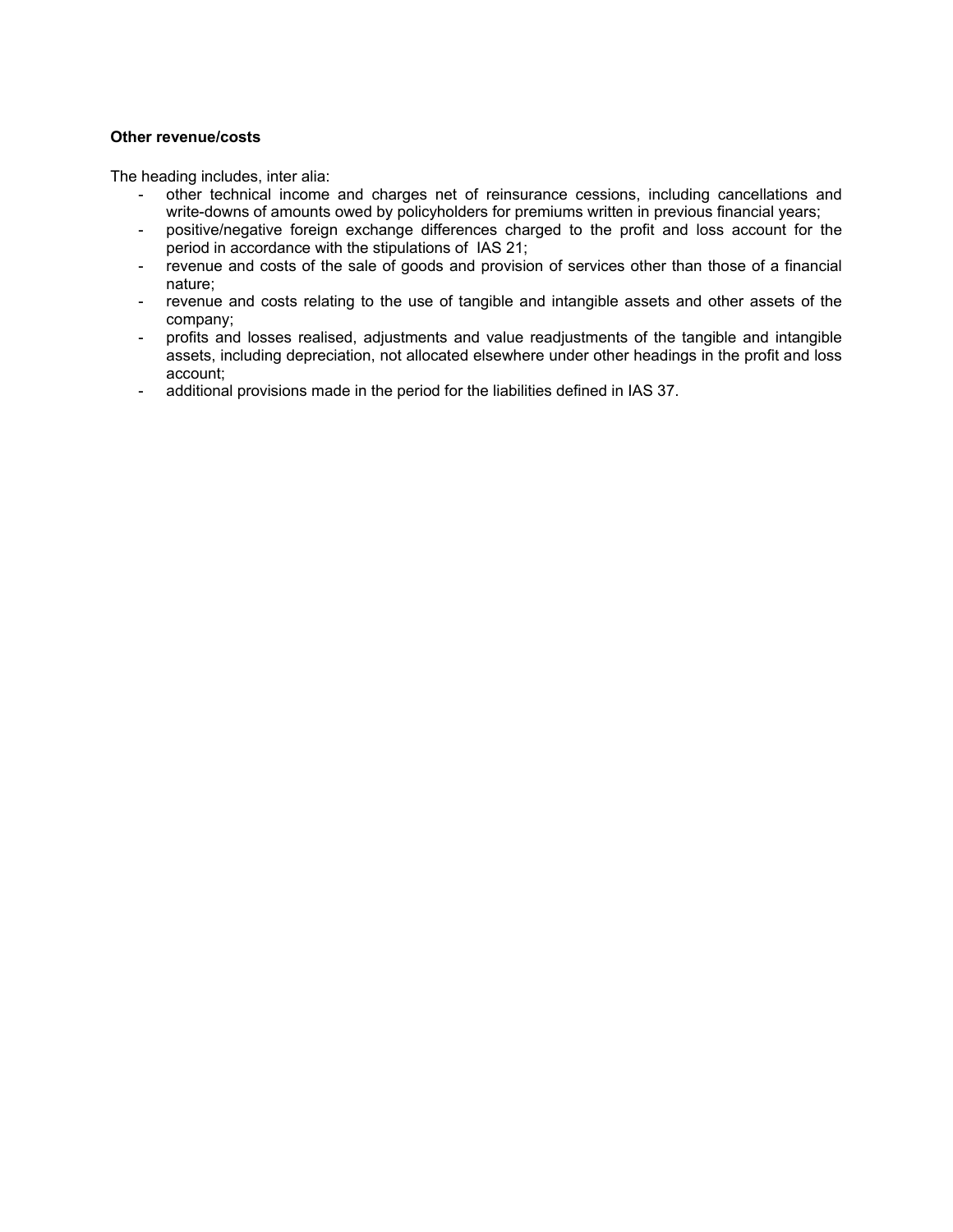# **Other revenue/costs**

The heading includes, inter alia:

- other technical income and charges net of reinsurance cessions, including cancellations and write-downs of amounts owed by policyholders for premiums written in previous financial years;
- positive/negative foreign exchange differences charged to the profit and loss account for the period in accordance with the stipulations of IAS 21;
- revenue and costs of the sale of goods and provision of services other than those of a financial nature;
- revenue and costs relating to the use of tangible and intangible assets and other assets of the company;
- profits and losses realised, adjustments and value readjustments of the tangible and intangible assets, including depreciation, not allocated elsewhere under other headings in the profit and loss account;
- additional provisions made in the period for the liabilities defined in IAS 37.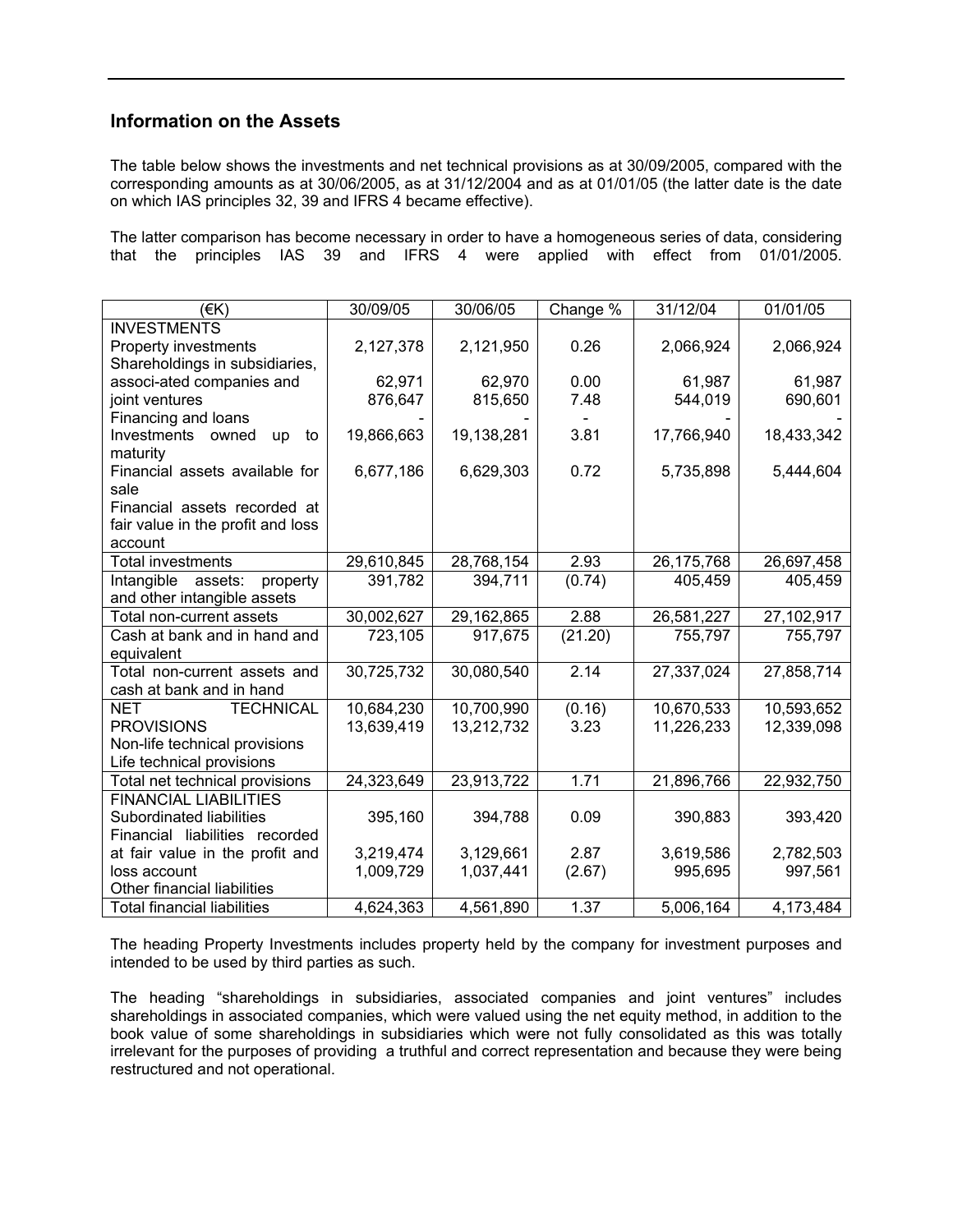# **Information on the Assets**

The table below shows the investments and net technical provisions as at 30/09/2005, compared with the corresponding amounts as at 30/06/2005, as at 31/12/2004 and as at 01/01/05 (the latter date is the date on which IAS principles 32, 39 and IFRS 4 became effective).

The latter comparison has become necessary in order to have a homogeneous series of data, considering that the principles IAS 39 and IFRS 4 were applied with effect from 01/01/2005.

| (EK)                               | 30/09/05   | 30/06/05   | Change % | 31/12/04   | 01/01/05   |
|------------------------------------|------------|------------|----------|------------|------------|
| <b>INVESTMENTS</b>                 |            |            |          |            |            |
| Property investments               | 2,127,378  | 2,121,950  | 0.26     | 2,066,924  | 2,066,924  |
| Shareholdings in subsidiaries,     |            |            |          |            |            |
| associ-ated companies and          | 62,971     | 62,970     | 0.00     | 61,987     | 61,987     |
| joint ventures                     | 876,647    | 815,650    | 7.48     | 544,019    | 690,601    |
| Financing and loans                |            |            |          |            |            |
| Investments<br>owned<br>up<br>to   | 19,866,663 | 19,138,281 | 3.81     | 17,766,940 | 18,433,342 |
| maturity                           |            |            |          |            |            |
| Financial assets available for     | 6,677,186  | 6,629,303  | 0.72     | 5,735,898  | 5,444,604  |
| sale                               |            |            |          |            |            |
| Financial assets recorded at       |            |            |          |            |            |
| fair value in the profit and loss  |            |            |          |            |            |
| account                            |            |            |          |            |            |
| <b>Total investments</b>           | 29,610,845 | 28,768,154 | 2.93     | 26,175,768 | 26,697,458 |
| assets:<br>property<br>Intangible  | 391,782    | 394,711    | (0.74)   | 405,459    | 405,459    |
| and other intangible assets        |            |            |          |            |            |
| Total non-current assets           | 30,002,627 | 29,162,865 | 2.88     | 26,581,227 | 27,102,917 |
| Cash at bank and in hand and       | 723,105    | 917,675    | (21.20)  | 755,797    | 755,797    |
| equivalent                         |            |            |          |            |            |
| Total non-current assets and       | 30,725,732 | 30,080,540 | 2.14     | 27,337,024 | 27,858,714 |
| cash at bank and in hand           |            |            |          |            |            |
| <b>TECHNICAL</b><br><b>NET</b>     | 10,684,230 | 10,700,990 | (0.16)   | 10,670,533 | 10,593,652 |
| <b>PROVISIONS</b>                  | 13,639,419 | 13,212,732 | 3.23     | 11,226,233 | 12,339,098 |
| Non-life technical provisions      |            |            |          |            |            |
| Life technical provisions          |            |            |          |            |            |
| Total net technical provisions     | 24,323,649 | 23,913,722 | 1.71     | 21,896,766 | 22,932,750 |
| <b>FINANCIAL LIABILITIES</b>       |            |            |          |            |            |
| Subordinated liabilities           | 395,160    | 394,788    | 0.09     | 390,883    | 393,420    |
| Financial liabilities recorded     |            |            |          |            |            |
| at fair value in the profit and    | 3,219,474  | 3,129,661  | 2.87     | 3,619,586  | 2,782,503  |
| loss account                       | 1,009,729  | 1,037,441  | (2.67)   | 995,695    | 997,561    |
| Other financial liabilities        |            |            |          |            |            |
| <b>Total financial liabilities</b> | 4,624,363  | 4,561,890  | 1.37     | 5,006,164  | 4,173,484  |

The heading Property Investments includes property held by the company for investment purposes and intended to be used by third parties as such.

The heading "shareholdings in subsidiaries, associated companies and joint ventures" includes shareholdings in associated companies, which were valued using the net equity method, in addition to the book value of some shareholdings in subsidiaries which were not fully consolidated as this was totally irrelevant for the purposes of providing a truthful and correct representation and because they were being restructured and not operational.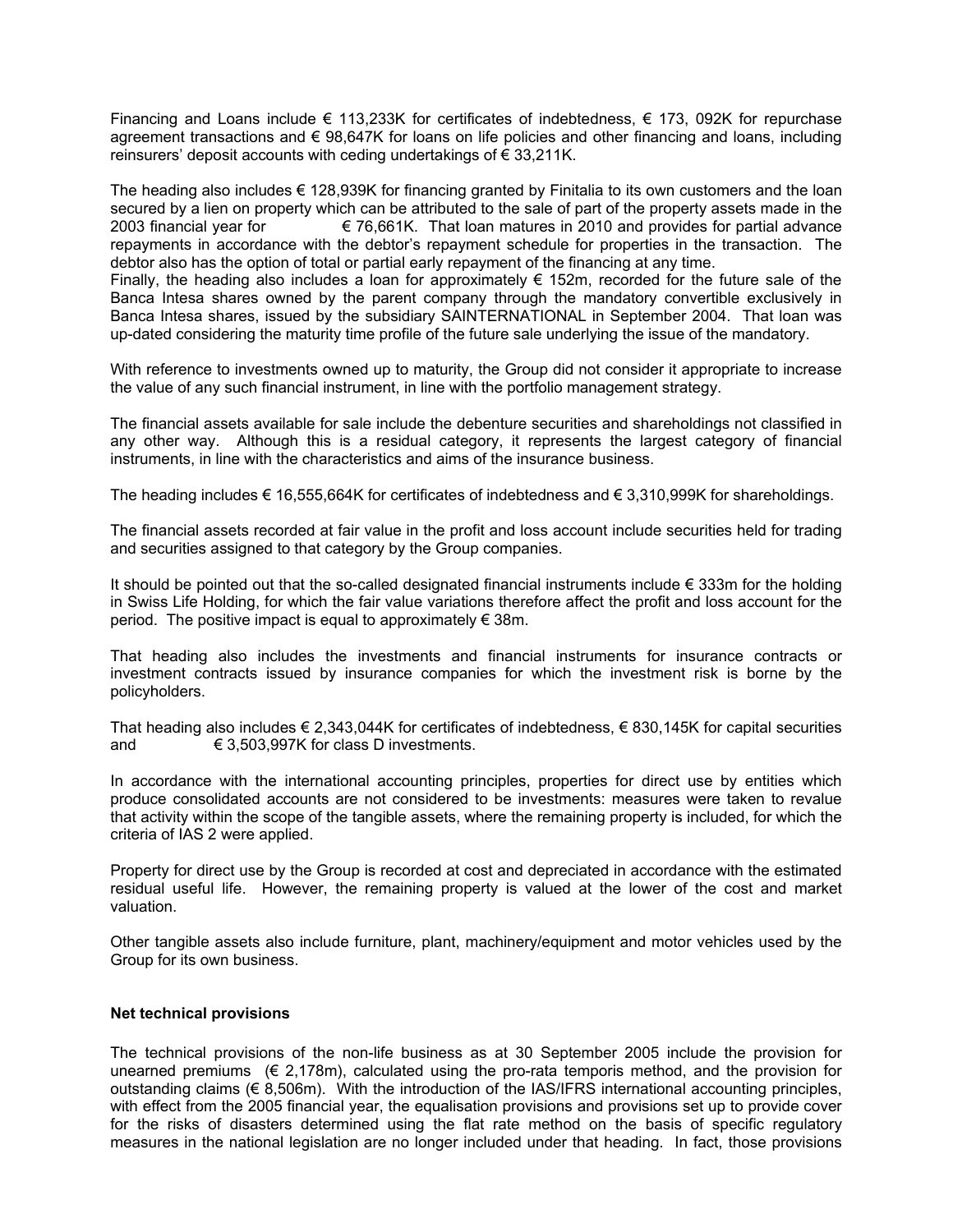Financing and Loans include  $\epsilon$  113,233K for certificates of indebtedness,  $\epsilon$  173, 092K for repurchase agreement transactions and € 98,647K for loans on life policies and other financing and loans, including reinsurers' deposit accounts with ceding undertakings of  $\epsilon$  33,211K.

The heading also includes  $\epsilon$  128,939K for financing granted by Finitalia to its own customers and the loan secured by a lien on property which can be attributed to the sale of part of the property assets made in the 2003 financial year for  $\epsilon$  76,661K. That loan matures in 2010 and provides for partial advance repayments in accordance with the debtor's repayment schedule for properties in the transaction. The debtor also has the option of total or partial early repayment of the financing at any time.

Finally, the heading also includes a loan for approximately  $\epsilon$  152m, recorded for the future sale of the Banca Intesa shares owned by the parent company through the mandatory convertible exclusively in Banca Intesa shares, issued by the subsidiary SAINTERNATIONAL in September 2004. That loan was up-dated considering the maturity time profile of the future sale underlying the issue of the mandatory.

With reference to investments owned up to maturity, the Group did not consider it appropriate to increase the value of any such financial instrument, in line with the portfolio management strategy.

The financial assets available for sale include the debenture securities and shareholdings not classified in any other way. Although this is a residual category, it represents the largest category of financial instruments, in line with the characteristics and aims of the insurance business.

The heading includes € 16,555,664K for certificates of indebtedness and € 3,310,999K for shareholdings.

The financial assets recorded at fair value in the profit and loss account include securities held for trading and securities assigned to that category by the Group companies.

It should be pointed out that the so-called designated financial instruments include  $\epsilon$  333m for the holding in Swiss Life Holding, for which the fair value variations therefore affect the profit and loss account for the period. The positive impact is equal to approximately  $\epsilon$  38m.

That heading also includes the investments and financial instruments for insurance contracts or investment contracts issued by insurance companies for which the investment risk is borne by the policyholders.

That heading also includes  $\epsilon$  2,343,044K for certificates of indebtedness,  $\epsilon$  830,145K for capital securities and  $\epsilon$  3,503,997K for class D investments.

In accordance with the international accounting principles, properties for direct use by entities which produce consolidated accounts are not considered to be investments: measures were taken to revalue that activity within the scope of the tangible assets, where the remaining property is included, for which the criteria of IAS 2 were applied.

Property for direct use by the Group is recorded at cost and depreciated in accordance with the estimated residual useful life. However, the remaining property is valued at the lower of the cost and market valuation.

Other tangible assets also include furniture, plant, machinery/equipment and motor vehicles used by the Group for its own business.

# **Net technical provisions**

The technical provisions of the non-life business as at 30 September 2005 include the provision for unearned premiums  $(\epsilon 2, 178m)$ , calculated using the pro-rata temporis method, and the provision for outstanding claims ( $\in$  8.506m). With the introduction of the IAS/IFRS international accounting principles, with effect from the 2005 financial year, the equalisation provisions and provisions set up to provide cover for the risks of disasters determined using the flat rate method on the basis of specific regulatory measures in the national legislation are no longer included under that heading. In fact, those provisions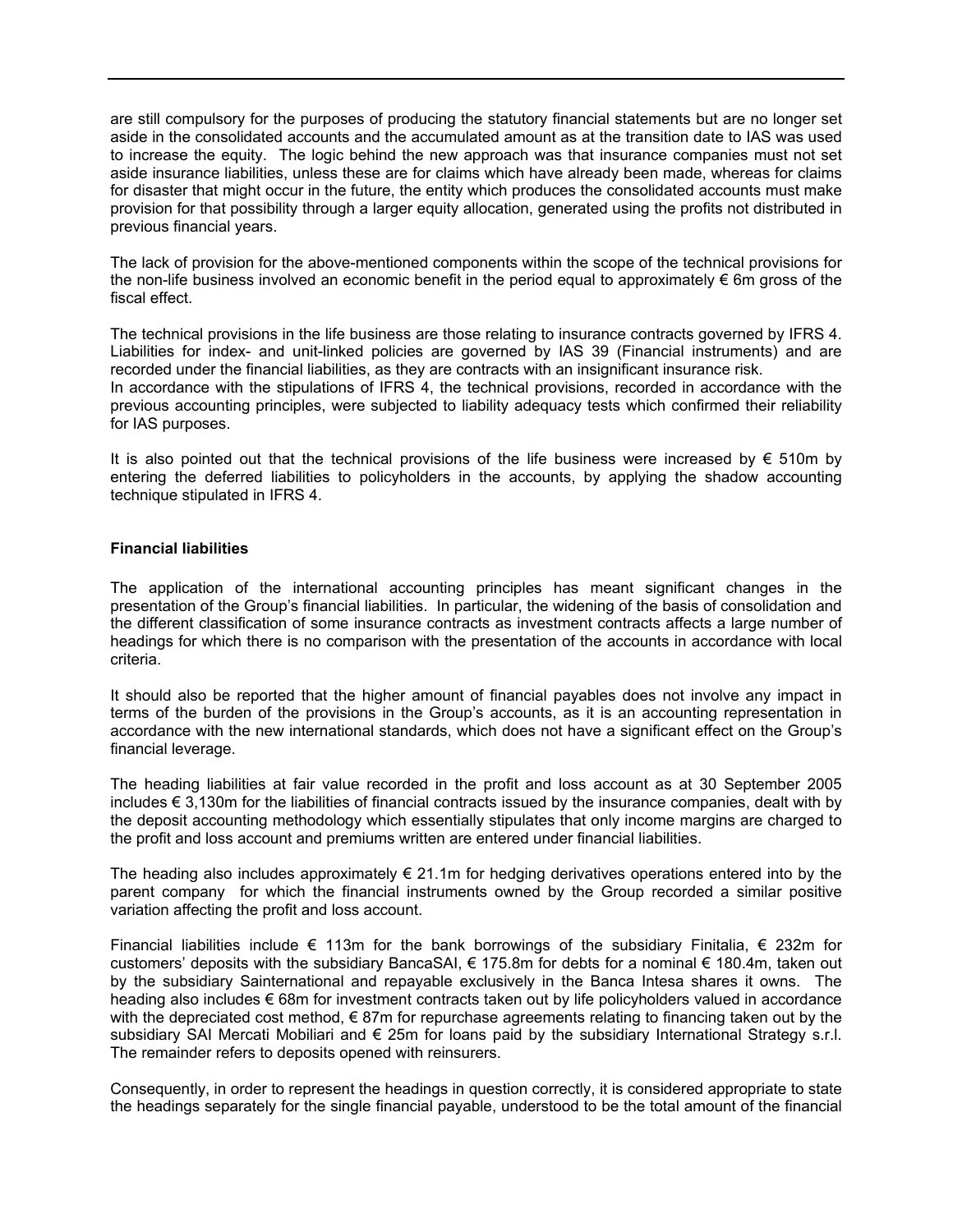are still compulsory for the purposes of producing the statutory financial statements but are no longer set aside in the consolidated accounts and the accumulated amount as at the transition date to IAS was used to increase the equity. The logic behind the new approach was that insurance companies must not set aside insurance liabilities, unless these are for claims which have already been made, whereas for claims for disaster that might occur in the future, the entity which produces the consolidated accounts must make provision for that possibility through a larger equity allocation, generated using the profits not distributed in previous financial years.

The lack of provision for the above-mentioned components within the scope of the technical provisions for the non-life business involved an economic benefit in the period equal to approximately € 6m gross of the fiscal effect.

The technical provisions in the life business are those relating to insurance contracts governed by IFRS 4. Liabilities for index- and unit-linked policies are governed by IAS 39 (Financial instruments) and are recorded under the financial liabilities, as they are contracts with an insignificant insurance risk. In accordance with the stipulations of IFRS 4, the technical provisions, recorded in accordance with the previous accounting principles, were subjected to liability adequacy tests which confirmed their reliability for IAS purposes.

It is also pointed out that the technical provisions of the life business were increased by  $\epsilon$  510m by entering the deferred liabilities to policyholders in the accounts, by applying the shadow accounting technique stipulated in IFRS 4.

# **Financial liabilities**

The application of the international accounting principles has meant significant changes in the presentation of the Group's financial liabilities. In particular, the widening of the basis of consolidation and the different classification of some insurance contracts as investment contracts affects a large number of headings for which there is no comparison with the presentation of the accounts in accordance with local criteria.

It should also be reported that the higher amount of financial payables does not involve any impact in terms of the burden of the provisions in the Group's accounts, as it is an accounting representation in accordance with the new international standards, which does not have a significant effect on the Group's financial leverage.

The heading liabilities at fair value recorded in the profit and loss account as at 30 September 2005 includes € 3,130m for the liabilities of financial contracts issued by the insurance companies, dealt with by the deposit accounting methodology which essentially stipulates that only income margins are charged to the profit and loss account and premiums written are entered under financial liabilities.

The heading also includes approximately  $\epsilon$  21.1m for hedging derivatives operations entered into by the parent company for which the financial instruments owned by the Group recorded a similar positive variation affecting the profit and loss account.

Financial liabilities include  $\epsilon$  113m for the bank borrowings of the subsidiary Finitalia,  $\epsilon$  232m for customers' deposits with the subsidiary BancaSAI,  $\epsilon$  175.8m for debts for a nominal  $\epsilon$  180.4m, taken out by the subsidiary Sainternational and repayable exclusively in the Banca Intesa shares it owns. The heading also includes € 68m for investment contracts taken out by life policyholders valued in accordance with the depreciated cost method, € 87m for repurchase agreements relating to financing taken out by the subsidiary SAI Mercati Mobiliari and € 25m for loans paid by the subsidiary International Strategy s.r.l. The remainder refers to deposits opened with reinsurers.

Consequently, in order to represent the headings in question correctly, it is considered appropriate to state the headings separately for the single financial payable, understood to be the total amount of the financial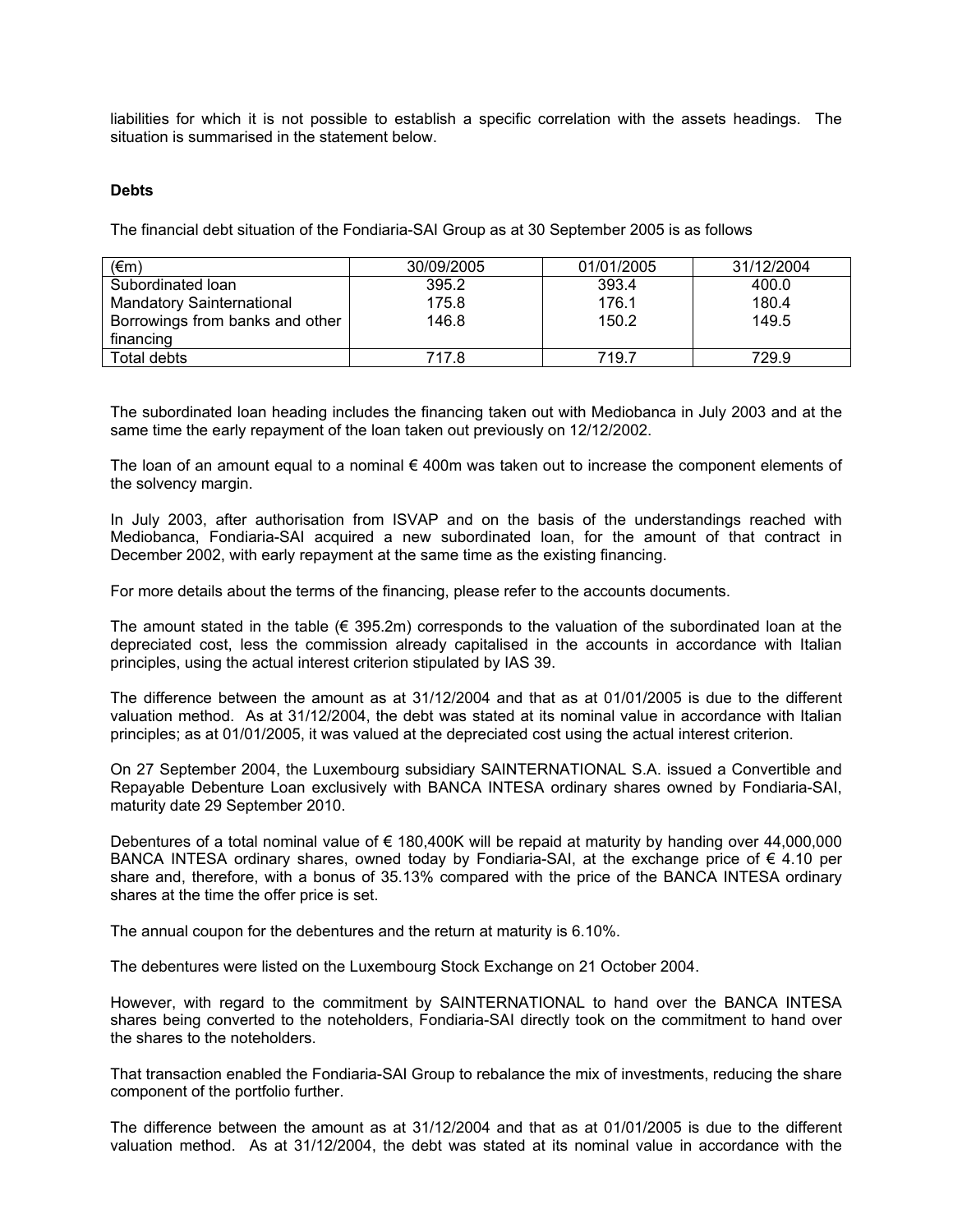liabilities for which it is not possible to establish a specific correlation with the assets headings. The situation is summarised in the statement below.

#### **Debts**

The financial debt situation of the Fondiaria-SAI Group as at 30 September 2005 is as follows

| $(\epsilon m)$                   | 30/09/2005 | 01/01/2005 | 31/12/2004 |
|----------------------------------|------------|------------|------------|
| Subordinated Ioan                | 395.2      | 393.4      | 400.0      |
| <b>Mandatory Sainternational</b> | 175.8      | 176.1      | 180.4      |
| Borrowings from banks and other  | 146.8      | 150.2      | 149.5      |
| financing                        |            |            |            |
| Total debts                      | 717.8      | 719.7      | 729.9      |

The subordinated loan heading includes the financing taken out with Mediobanca in July 2003 and at the same time the early repayment of the loan taken out previously on 12/12/2002.

The loan of an amount equal to a nominal  $\epsilon$  400m was taken out to increase the component elements of the solvency margin.

In July 2003, after authorisation from ISVAP and on the basis of the understandings reached with Mediobanca, Fondiaria-SAI acquired a new subordinated loan, for the amount of that contract in December 2002, with early repayment at the same time as the existing financing.

For more details about the terms of the financing, please refer to the accounts documents.

The amount stated in the table  $(6, 395.2m)$  corresponds to the valuation of the subordinated loan at the depreciated cost, less the commission already capitalised in the accounts in accordance with Italian principles, using the actual interest criterion stipulated by IAS 39.

The difference between the amount as at 31/12/2004 and that as at 01/01/2005 is due to the different valuation method. As at 31/12/2004, the debt was stated at its nominal value in accordance with Italian principles; as at 01/01/2005, it was valued at the depreciated cost using the actual interest criterion.

On 27 September 2004, the Luxembourg subsidiary SAINTERNATIONAL S.A. issued a Convertible and Repayable Debenture Loan exclusively with BANCA INTESA ordinary shares owned by Fondiaria-SAI, maturity date 29 September 2010.

Debentures of a total nominal value of € 180,400K will be repaid at maturity by handing over 44,000,000 BANCA INTESA ordinary shares, owned today by Fondiaria-SAI, at the exchange price of  $\epsilon$  4.10 per share and, therefore, with a bonus of 35.13% compared with the price of the BANCA INTESA ordinary shares at the time the offer price is set.

The annual coupon for the debentures and the return at maturity is 6.10%.

The debentures were listed on the Luxembourg Stock Exchange on 21 October 2004.

However, with regard to the commitment by SAINTERNATIONAL to hand over the BANCA INTESA shares being converted to the noteholders, Fondiaria-SAI directly took on the commitment to hand over the shares to the noteholders.

That transaction enabled the Fondiaria-SAI Group to rebalance the mix of investments, reducing the share component of the portfolio further.

The difference between the amount as at 31/12/2004 and that as at 01/01/2005 is due to the different valuation method. As at 31/12/2004, the debt was stated at its nominal value in accordance with the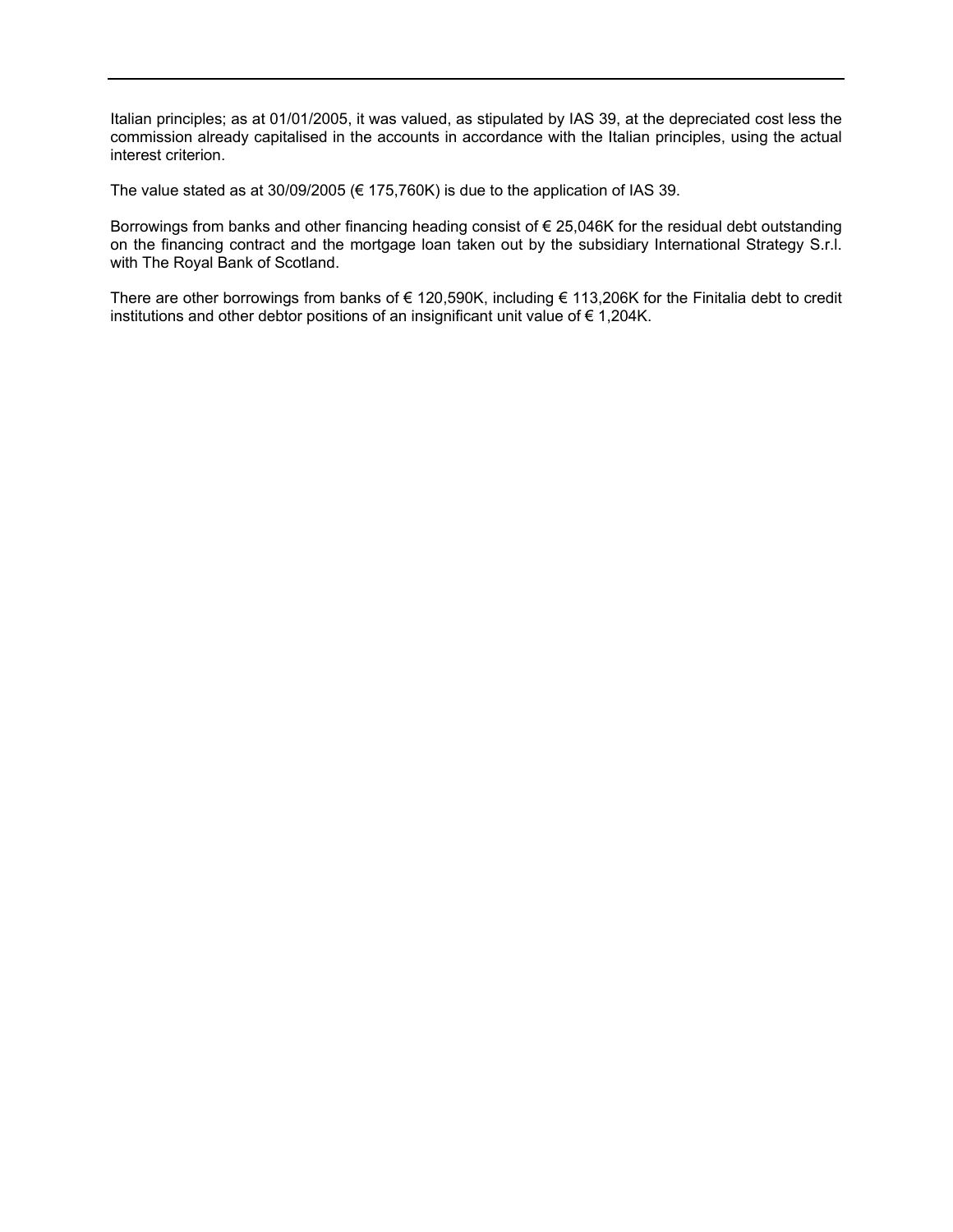Italian principles; as at 01/01/2005, it was valued, as stipulated by IAS 39, at the depreciated cost less the commission already capitalised in the accounts in accordance with the Italian principles, using the actual interest criterion.

The value stated as at 30/09/2005 ( $\epsilon$  175,760K) is due to the application of IAS 39.

Borrowings from banks and other financing heading consist of € 25,046K for the residual debt outstanding on the financing contract and the mortgage loan taken out by the subsidiary International Strategy S.r.l. with The Royal Bank of Scotland.

There are other borrowings from banks of € 120,590K, including € 113,206K for the Finitalia debt to credit institutions and other debtor positions of an insignificant unit value of € 1,204K.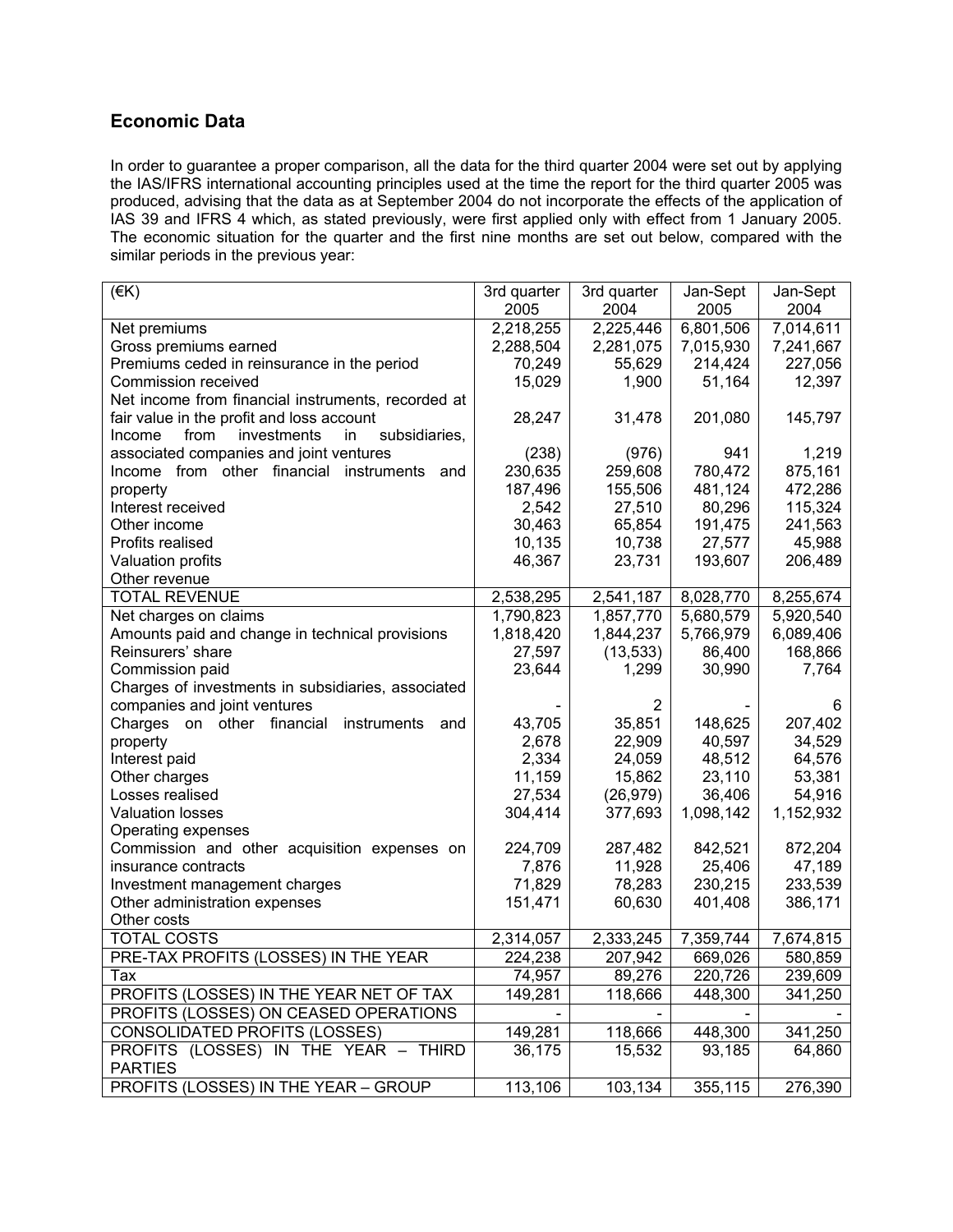# **Economic Data**

In order to guarantee a proper comparison, all the data for the third quarter 2004 were set out by applying the IAS/IFRS international accounting principles used at the time the report for the third quarter 2005 was produced, advising that the data as at September 2004 do not incorporate the effects of the application of IAS 39 and IFRS 4 which, as stated previously, were first applied only with effect from 1 January 2005. The economic situation for the quarter and the first nine months are set out below, compared with the similar periods in the previous year:

| $($ €K)                                              | 3rd quarter | 3rd quarter | Jan-Sept  | Jan-Sept  |
|------------------------------------------------------|-------------|-------------|-----------|-----------|
|                                                      | 2005        | 2004        | 2005      | 2004      |
| Net premiums                                         | 2,218,255   | 2,225,446   | 6,801,506 | 7,014,611 |
| Gross premiums earned                                | 2,288,504   | 2,281,075   | 7,015,930 | 7,241,667 |
| Premiums ceded in reinsurance in the period          | 70,249      | 55,629      | 214,424   | 227,056   |
| Commission received                                  | 15,029      | 1,900       | 51,164    | 12,397    |
| Net income from financial instruments, recorded at   |             |             |           |           |
| fair value in the profit and loss account            | 28,247      | 31,478      | 201,080   | 145,797   |
| investments<br>subsidiaries,<br>from<br>Income<br>in |             |             |           |           |
| associated companies and joint ventures              | (238)       | (976)       | 941       | 1,219     |
| Income from other financial<br>instruments<br>and    | 230,635     | 259,608     | 780,472   | 875,161   |
| property                                             | 187,496     | 155,506     | 481,124   | 472,286   |
| Interest received                                    | 2,542       | 27,510      | 80,296    | 115,324   |
| Other income                                         | 30,463      | 65,854      | 191,475   | 241,563   |
| Profits realised                                     | 10,135      | 10,738      | 27,577    | 45,988    |
| Valuation profits                                    | 46,367      | 23,731      | 193,607   | 206,489   |
| Other revenue                                        |             |             |           |           |
| <b>TOTAL REVENUE</b>                                 | 2,538,295   | 2,541,187   | 8,028,770 | 8,255,674 |
| Net charges on claims                                | 1,790,823   | 1,857,770   | 5,680,579 | 5,920,540 |
| Amounts paid and change in technical provisions      | 1,818,420   | 1,844,237   | 5,766,979 | 6,089,406 |
| Reinsurers' share                                    | 27,597      | (13, 533)   | 86,400    | 168,866   |
| Commission paid                                      | 23,644      | 1,299       | 30,990    | 7,764     |
| Charges of investments in subsidiaries, associated   |             |             |           |           |
| companies and joint ventures                         |             | 2           |           | 6         |
| financial<br>Charges on other<br>instruments<br>and  | 43,705      | 35,851      | 148,625   | 207,402   |
| property                                             | 2,678       | 22,909      | 40,597    | 34,529    |
| Interest paid                                        | 2,334       | 24,059      | 48,512    | 64,576    |
| Other charges                                        | 11,159      | 15,862      | 23,110    | 53,381    |
| Losses realised                                      | 27,534      | (26, 979)   | 36,406    | 54,916    |
| <b>Valuation losses</b>                              | 304,414     | 377,693     | 1,098,142 | 1,152,932 |
| Operating expenses                                   |             |             |           |           |
| Commission and other acquisition expenses on         | 224,709     | 287,482     | 842,521   | 872,204   |
| insurance contracts                                  | 7,876       | 11,928      | 25,406    | 47,189    |
| Investment management charges                        | 71,829      | 78,283      | 230,215   | 233,539   |
| Other administration expenses                        | 151,471     | 60,630      | 401,408   | 386,171   |
| Other costs                                          |             |             |           |           |
| <b>TOTAL COSTS</b>                                   | 2,314,057   | 2,333,245   | 7,359,744 | 7,674,815 |
| PRE-TAX PROFITS (LOSSES) IN THE YEAR                 | 224,238     | 207,942     | 669,026   | 580,859   |
| Tax                                                  | 74,957      | 89,276      | 220.726   | 239,609   |
| PROFITS (LOSSES) IN THE YEAR NET OF TAX              | 149,281     | 118,666     | 448,300   | 341,250   |
| PROFITS (LOSSES) ON CEASED OPERATIONS                |             |             |           |           |
| CONSOLIDATED PROFITS (LOSSES)                        | 149,281     | 118,666     | 448,300   | 341,250   |
| PROFITS (LOSSES) IN THE YEAR - THIRD                 | 36,175      | 15,532      | 93,185    | 64,860    |
| <b>PARTIES</b>                                       |             |             |           |           |
| PROFITS (LOSSES) IN THE YEAR - GROUP                 | 113,106     | 103,134     | 355,115   | 276,390   |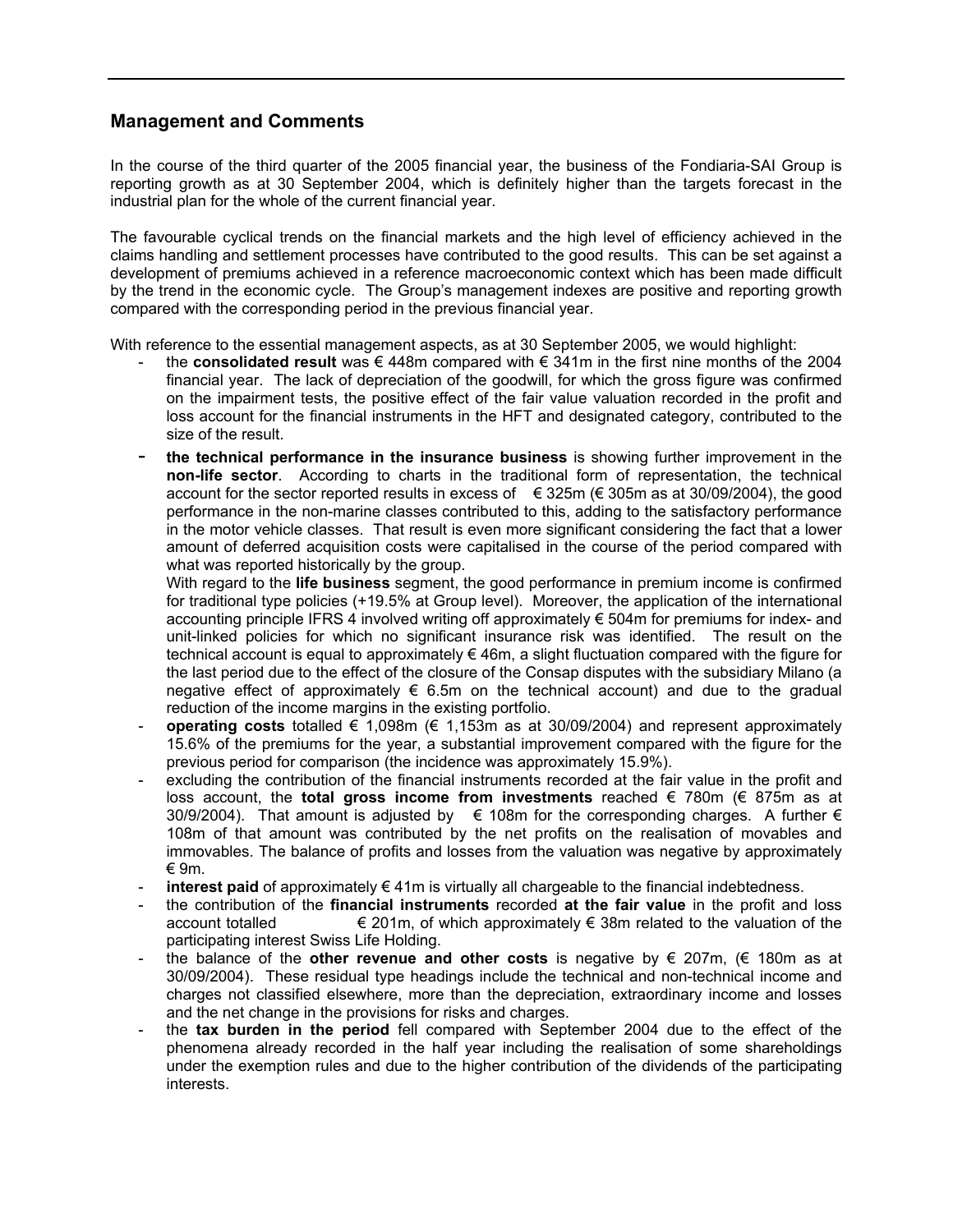# **Management and Comments**

In the course of the third quarter of the 2005 financial year, the business of the Fondiaria-SAI Group is reporting growth as at 30 September 2004, which is definitely higher than the targets forecast in the industrial plan for the whole of the current financial year.

The favourable cyclical trends on the financial markets and the high level of efficiency achieved in the claims handling and settlement processes have contributed to the good results. This can be set against a development of premiums achieved in a reference macroeconomic context which has been made difficult by the trend in the economic cycle. The Group's management indexes are positive and reporting growth compared with the corresponding period in the previous financial year.

With reference to the essential management aspects, as at 30 September 2005, we would highlight:

- the **consolidated result** was € 448m compared with € 341m in the first nine months of the 2004 financial year. The lack of depreciation of the goodwill, for which the gross figure was confirmed on the impairment tests, the positive effect of the fair value valuation recorded in the profit and loss account for the financial instruments in the HFT and designated category, contributed to the size of the result.
- **the technical performance in the insurance business** is showing further improvement in the **non-life sector**. According to charts in the traditional form of representation, the technical account for the sector reported results in excess of  $\epsilon$  325m ( $\epsilon$  305m as at 30/09/2004), the good performance in the non-marine classes contributed to this, adding to the satisfactory performance in the motor vehicle classes. That result is even more significant considering the fact that a lower amount of deferred acquisition costs were capitalised in the course of the period compared with what was reported historically by the group.

With regard to the **life business** segment, the good performance in premium income is confirmed for traditional type policies (+19.5% at Group level). Moreover, the application of the international accounting principle IFRS 4 involved writing off approximately  $\epsilon$  504m for premiums for index- and unit-linked policies for which no significant insurance risk was identified. The result on the technical account is equal to approximately € 46m, a slight fluctuation compared with the figure for the last period due to the effect of the closure of the Consap disputes with the subsidiary Milano (a negative effect of approximately  $\epsilon$  6.5m on the technical account) and due to the gradual reduction of the income margins in the existing portfolio.

- **operating costs** totalled  $\in$  1,098m ( $\in$  1,153m as at 30/09/2004) and represent approximately 15.6% of the premiums for the year, a substantial improvement compared with the figure for the previous period for comparison (the incidence was approximately 15.9%).
- excluding the contribution of the financial instruments recorded at the fair value in the profit and loss account, the **total gross income from investments** reached € 780m (€ 875m as at 30/9/2004). That amount is adjusted by  $\epsilon$  108m for the corresponding charges. A further  $\epsilon$ 108m of that amount was contributed by the net profits on the realisation of movables and immovables. The balance of profits and losses from the valuation was negative by approximately € 9m.
- **interest paid** of approximately  $\in$  41m is virtually all chargeable to the financial indebtedness.
- the contribution of the **financial instruments** recorded **at the fair value** in the profit and loss account totalled  $\epsilon$  201m, of which approximately  $\epsilon$  38m related to the valuation of the participating interest Swiss Life Holding.
- the balance of the **other revenue and other costs** is negative by  $\epsilon$  207m,  $(\epsilon$  180m as at 30/09/2004). These residual type headings include the technical and non-technical income and charges not classified elsewhere, more than the depreciation, extraordinary income and losses and the net change in the provisions for risks and charges.
- the **tax burden in the period** fell compared with September 2004 due to the effect of the phenomena already recorded in the half year including the realisation of some shareholdings under the exemption rules and due to the higher contribution of the dividends of the participating interests.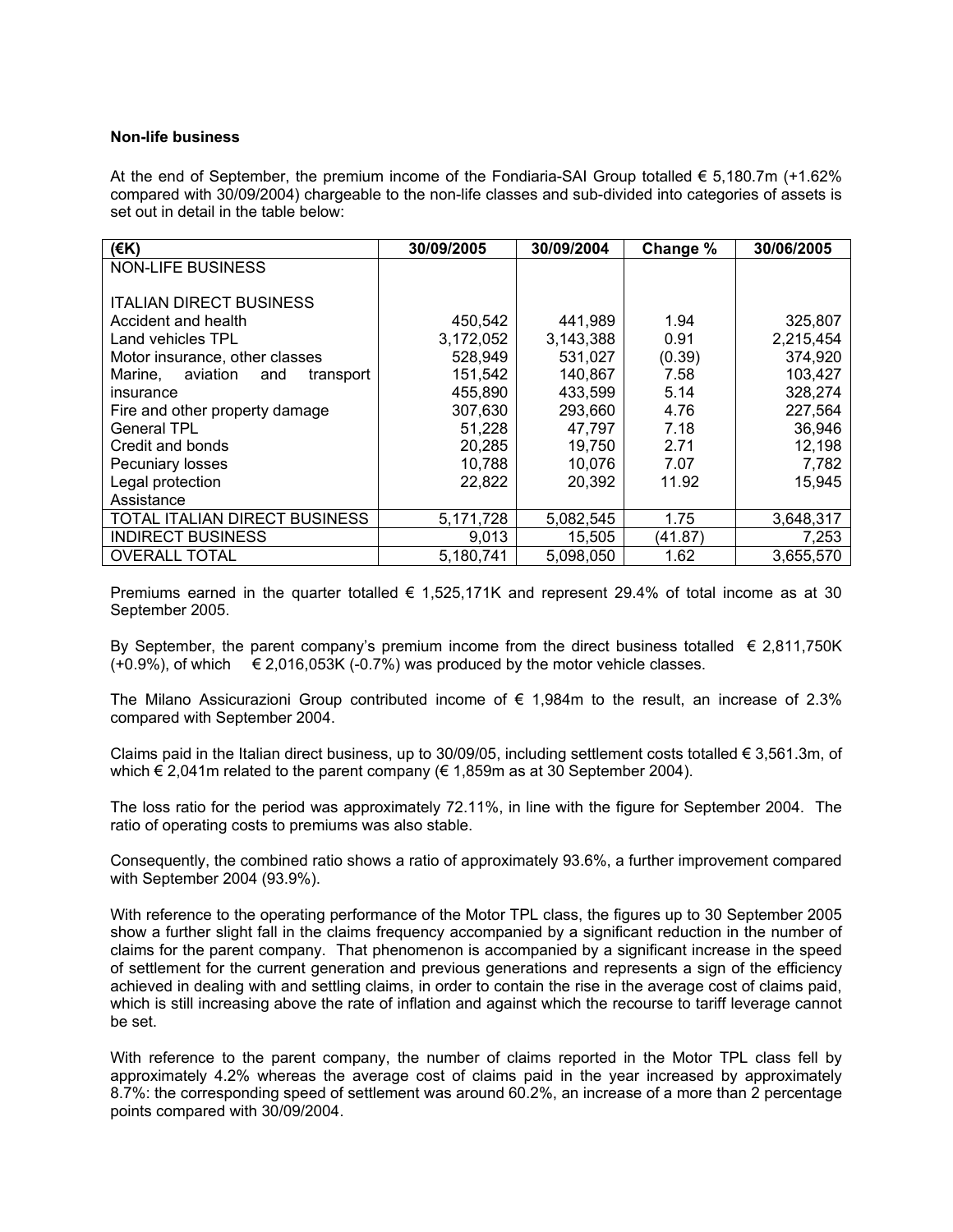# **Non-life business**

At the end of September, the premium income of the Fondiaria-SAI Group totalled  $\epsilon$  5.180.7m (+1.62%) compared with 30/09/2004) chargeable to the non-life classes and sub-divided into categories of assets is set out in detail in the table below:

| $($ <del>€</del> K)                     | 30/09/2005 | 30/09/2004 | Change % | 30/06/2005 |
|-----------------------------------------|------------|------------|----------|------------|
| <b>NON-LIFE BUSINESS</b>                |            |            |          |            |
|                                         |            |            |          |            |
| <b>ITALIAN DIRECT BUSINESS</b>          |            |            |          |            |
| Accident and health                     | 450,542    | 441,989    | 1.94     | 325,807    |
| Land vehicles TPL                       | 3,172,052  | 3,143,388  | 0.91     | 2,215,454  |
| Motor insurance, other classes          | 528,949    | 531,027    | (0.39)   | 374,920    |
| aviation<br>Marine,<br>transport<br>and | 151,542    | 140,867    | 7.58     | 103,427    |
| insurance                               | 455,890    | 433,599    | 5.14     | 328,274    |
| Fire and other property damage          | 307,630    | 293,660    | 4.76     | 227,564    |
| <b>General TPL</b>                      | 51,228     | 47,797     | 7.18     | 36,946     |
| Credit and bonds                        | 20,285     | 19,750     | 2.71     | 12,198     |
| Pecuniary losses                        | 10,788     | 10.076     | 7.07     | 7,782      |
| Legal protection                        | 22,822     | 20,392     | 11.92    | 15,945     |
| Assistance                              |            |            |          |            |
| TOTAL ITALIAN DIRECT BUSINESS           | 5,171,728  | 5,082,545  | 1.75     | 3,648,317  |
| <b>INDIRECT BUSINESS</b>                | 9,013      | 15,505     | (41.87)  | 7,253      |
| <b>OVERALL TOTAL</b>                    | 5,180,741  | 5,098,050  | 1.62     | 3,655,570  |

Premiums earned in the quarter totalled  $\epsilon$  1,525,171K and represent 29.4% of total income as at 30 September 2005.

By September, the parent company's premium income from the direct business totalled  $\epsilon$  2,811,750K  $(+0.9\%)$ , of which  $\epsilon$  2,016,053K (-0.7%) was produced by the motor vehicle classes.

The Milano Assicurazioni Group contributed income of  $\epsilon$  1,984m to the result, an increase of 2.3% compared with September 2004.

Claims paid in the Italian direct business, up to 30/09/05, including settlement costs totalled  $\epsilon$  3,561.3m, of which  $\epsilon$  2,041m related to the parent company ( $\epsilon$  1,859m as at 30 September 2004).

The loss ratio for the period was approximately 72.11%, in line with the figure for September 2004. The ratio of operating costs to premiums was also stable.

Consequently, the combined ratio shows a ratio of approximately 93.6%, a further improvement compared with September 2004 (93.9%).

With reference to the operating performance of the Motor TPL class, the figures up to 30 September 2005 show a further slight fall in the claims frequency accompanied by a significant reduction in the number of claims for the parent company. That phenomenon is accompanied by a significant increase in the speed of settlement for the current generation and previous generations and represents a sign of the efficiency achieved in dealing with and settling claims, in order to contain the rise in the average cost of claims paid, which is still increasing above the rate of inflation and against which the recourse to tariff leverage cannot be set.

With reference to the parent company, the number of claims reported in the Motor TPL class fell by approximately 4.2% whereas the average cost of claims paid in the year increased by approximately 8.7%: the corresponding speed of settlement was around 60.2%, an increase of a more than 2 percentage points compared with 30/09/2004.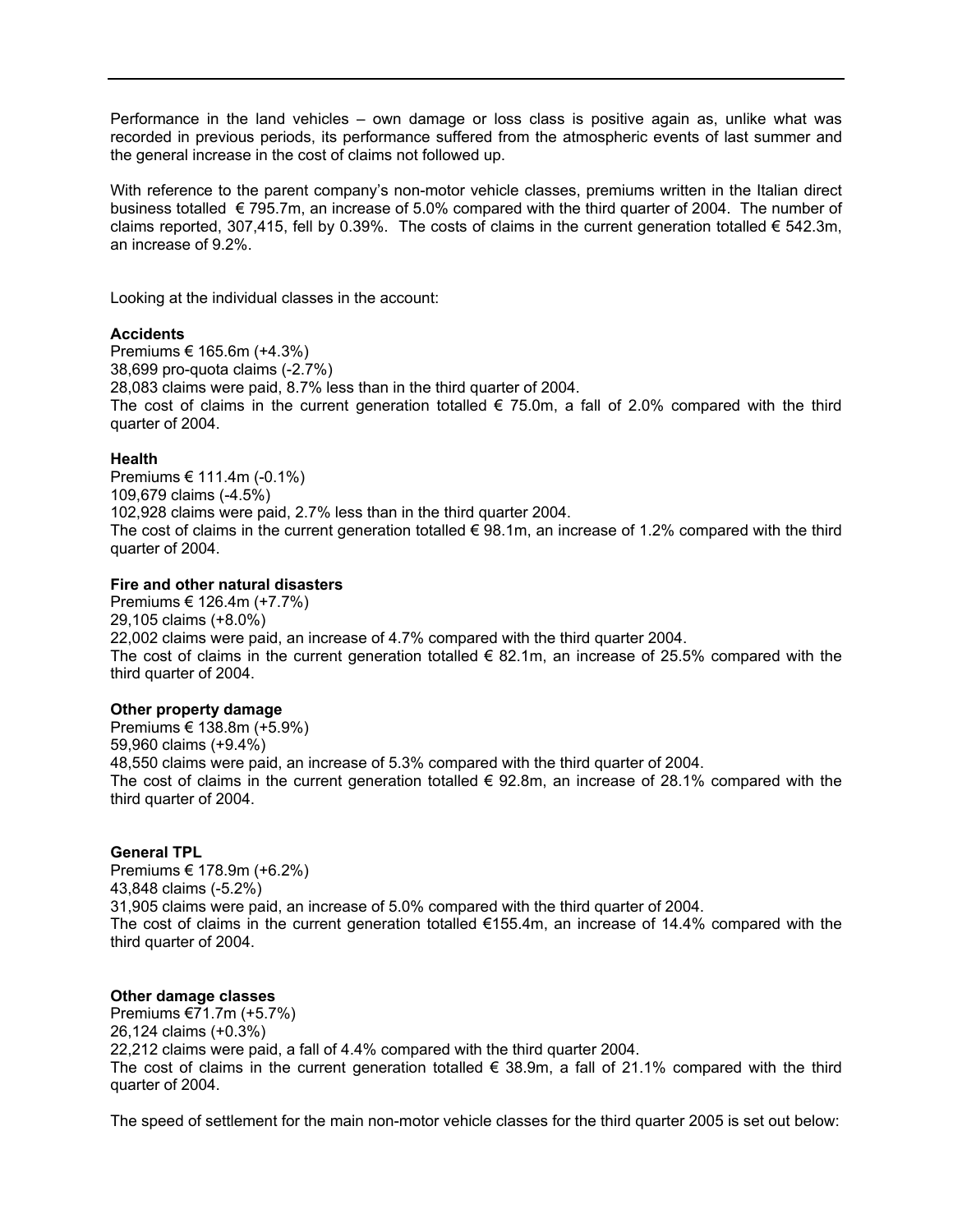Performance in the land vehicles – own damage or loss class is positive again as, unlike what was recorded in previous periods, its performance suffered from the atmospheric events of last summer and the general increase in the cost of claims not followed up.

With reference to the parent company's non-motor vehicle classes, premiums written in the Italian direct business totalled € 795.7m, an increase of 5.0% compared with the third quarter of 2004. The number of claims reported, 307,415, fell by 0.39%. The costs of claims in the current generation totalled  $\epsilon$  542.3m, an increase of 9.2%.

Looking at the individual classes in the account:

# **Accidents**

Premiums € 165.6m (+4.3%) 38,699 pro-quota claims (-2.7%) 28,083 claims were paid, 8.7% less than in the third quarter of 2004. The cost of claims in the current generation totalled  $\epsilon$  75.0m, a fall of 2.0% compared with the third quarter of 2004.

# **Health**

Premiums € 111.4m (-0.1%) 109,679 claims (-4.5%) 102,928 claims were paid, 2.7% less than in the third quarter 2004. The cost of claims in the current generation totalled  $\epsilon$  98.1m, an increase of 1.2% compared with the third quarter of 2004.

# **Fire and other natural disasters**

Premiums € 126.4m (+7.7%) 29,105 claims (+8.0%) 22,002 claims were paid, an increase of 4.7% compared with the third quarter 2004. The cost of claims in the current generation totalled  $\epsilon$  82.1m, an increase of 25.5% compared with the third quarter of 2004.

# **Other property damage**

Premiums € 138.8m (+5.9%) 59,960 claims (+9.4%) 48,550 claims were paid, an increase of 5.3% compared with the third quarter of 2004. The cost of claims in the current generation totalled  $\epsilon$  92.8m, an increase of 28.1% compared with the third quarter of 2004.

#### **General TPL**

Premiums € 178.9m (+6.2%) 43,848 claims (-5.2%) 31,905 claims were paid, an increase of 5.0% compared with the third quarter of 2004. The cost of claims in the current generation totalled  $€155.4m$ , an increase of 14.4% compared with the third quarter of 2004.

# **Other damage classes**

Premiums €71.7m (+5.7%) 26,124 claims (+0.3%) 22,212 claims were paid, a fall of 4.4% compared with the third quarter 2004. The cost of claims in the current generation totalled  $\epsilon$  38.9m, a fall of 21.1% compared with the third quarter of 2004.

The speed of settlement for the main non-motor vehicle classes for the third quarter 2005 is set out below: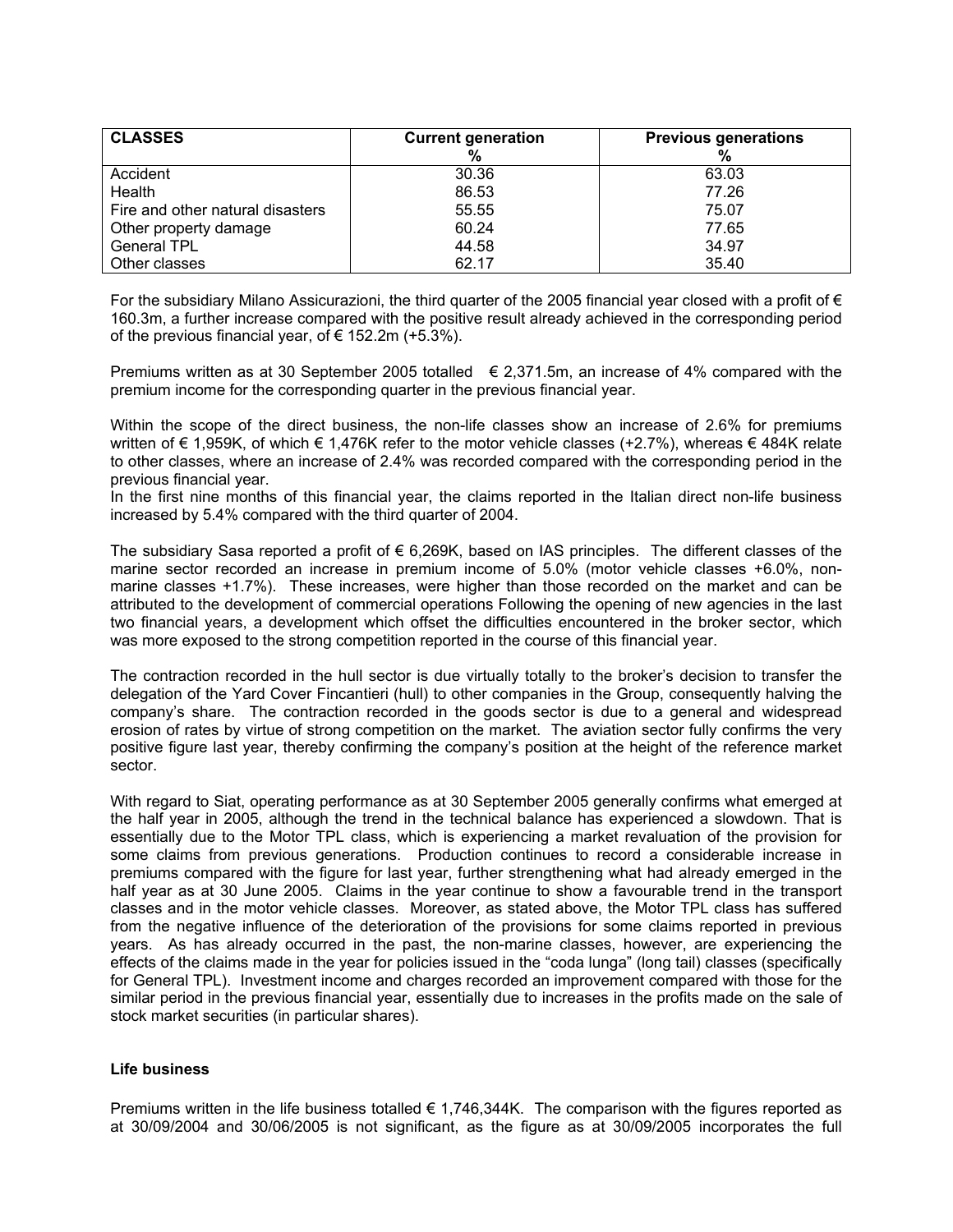| <b>CLASSES</b>                   | <b>Current generation</b> | <b>Previous generations</b> |
|----------------------------------|---------------------------|-----------------------------|
| Accident                         | 30.36                     | 63.03                       |
| Health                           | 86.53                     | 77.26                       |
| Fire and other natural disasters | 55.55                     | 75.07                       |
| Other property damage            | 60.24                     | 77.65                       |
| <b>General TPL</b>               | 44.58                     | 34.97                       |
| Other classes                    | 62.17                     | 35.40                       |

For the subsidiary Milano Assicurazioni, the third quarter of the 2005 financial year closed with a profit of  $\epsilon$ 160.3m, a further increase compared with the positive result already achieved in the corresponding period of the previous financial year, of  $\epsilon$  152.2m (+5.3%).

Premiums written as at 30 September 2005 totalled  $\epsilon$  2,371.5m, an increase of 4% compared with the premium income for the corresponding quarter in the previous financial year.

Within the scope of the direct business, the non-life classes show an increase of 2.6% for premiums written of € 1,959K, of which € 1,476K refer to the motor vehicle classes (+2.7%), whereas € 484K relate to other classes, where an increase of 2.4% was recorded compared with the corresponding period in the previous financial year.

In the first nine months of this financial year, the claims reported in the Italian direct non-life business increased by 5.4% compared with the third quarter of 2004.

The subsidiary Sasa reported a profit of € 6,269K, based on IAS principles. The different classes of the marine sector recorded an increase in premium income of 5.0% (motor vehicle classes +6.0%, nonmarine classes +1.7%). These increases, were higher than those recorded on the market and can be attributed to the development of commercial operations Following the opening of new agencies in the last two financial years, a development which offset the difficulties encountered in the broker sector, which was more exposed to the strong competition reported in the course of this financial year.

The contraction recorded in the hull sector is due virtually totally to the broker's decision to transfer the delegation of the Yard Cover Fincantieri (hull) to other companies in the Group, consequently halving the company's share. The contraction recorded in the goods sector is due to a general and widespread erosion of rates by virtue of strong competition on the market. The aviation sector fully confirms the very positive figure last year, thereby confirming the company's position at the height of the reference market sector.

With regard to Siat, operating performance as at 30 September 2005 generally confirms what emerged at the half year in 2005, although the trend in the technical balance has experienced a slowdown. That is essentially due to the Motor TPL class, which is experiencing a market revaluation of the provision for some claims from previous generations. Production continues to record a considerable increase in premiums compared with the figure for last year, further strengthening what had already emerged in the half year as at 30 June 2005. Claims in the year continue to show a favourable trend in the transport classes and in the motor vehicle classes. Moreover, as stated above, the Motor TPL class has suffered from the negative influence of the deterioration of the provisions for some claims reported in previous years. As has already occurred in the past, the non-marine classes, however, are experiencing the effects of the claims made in the year for policies issued in the "coda lunga" (long tail) classes (specifically for General TPL). Investment income and charges recorded an improvement compared with those for the similar period in the previous financial year, essentially due to increases in the profits made on the sale of stock market securities (in particular shares).

# **Life business**

Premiums written in the life business totalled  $\epsilon$  1,746,344K. The comparison with the figures reported as at 30/09/2004 and 30/06/2005 is not significant, as the figure as at 30/09/2005 incorporates the full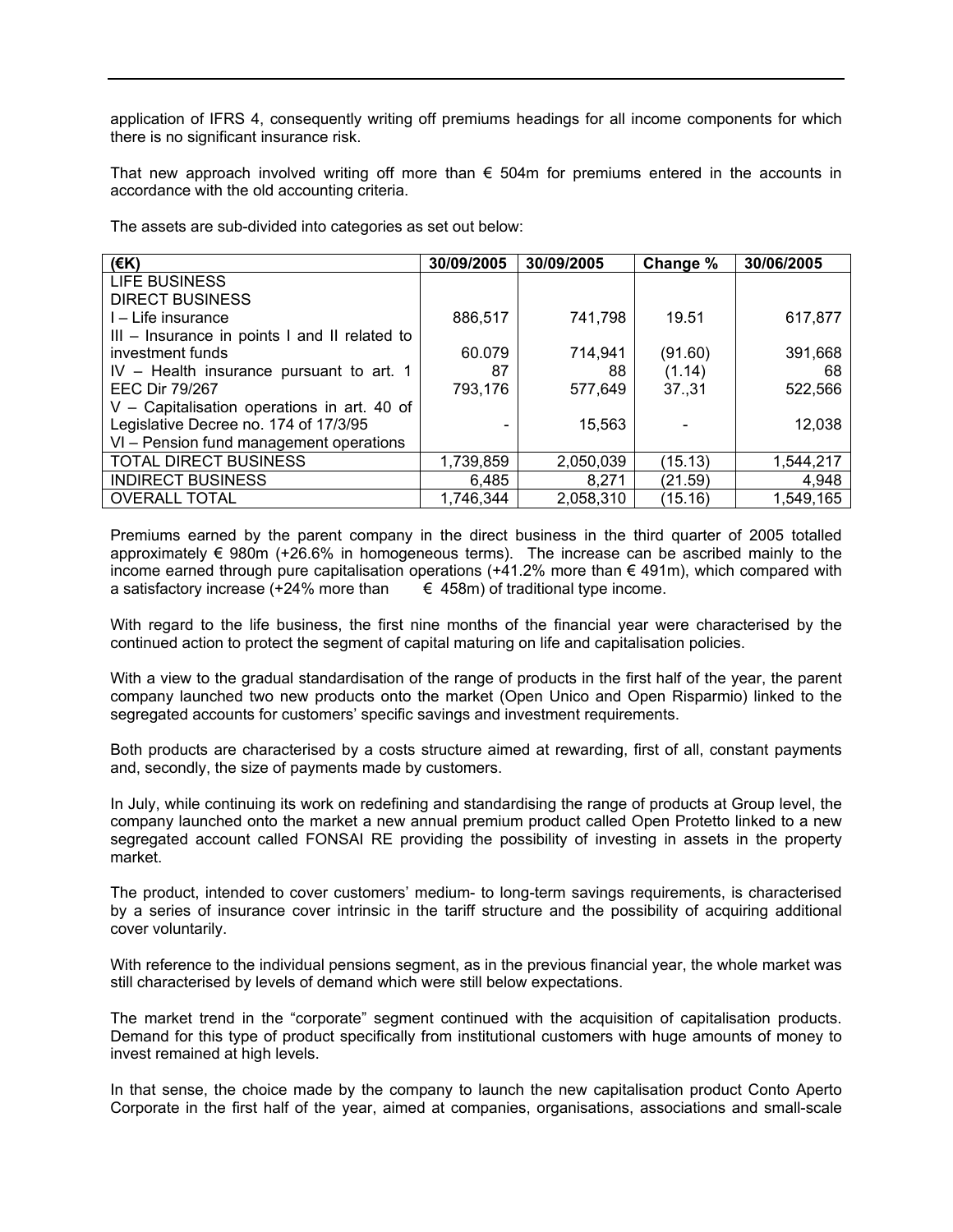application of IFRS 4, consequently writing off premiums headings for all income components for which there is no significant insurance risk.

That new approach involved writing off more than  $\epsilon$  504m for premiums entered in the accounts in accordance with the old accounting criteria.

The assets are sub-divided into categories as set out below:

| (EK)                                          | 30/09/2005 | 30/09/2005 | Change % | 30/06/2005 |
|-----------------------------------------------|------------|------------|----------|------------|
| <b>LIFE BUSINESS</b>                          |            |            |          |            |
| <b>DIRECT BUSINESS</b>                        |            |            |          |            |
| I – Life insurance                            | 886,517    | 741,798    | 19.51    | 617,877    |
| III - Insurance in points I and II related to |            |            |          |            |
| investment funds                              | 60.079     | 714,941    | (91.60)  | 391,668    |
| $IV - Health$ insurance pursuant to art. 1    | 87         | 88         | (1.14)   | 68         |
| <b>EEC Dir 79/267</b>                         | 793,176    | 577,649    | 37,31    | 522,566    |
| V - Capitalisation operations in art. 40 of   |            |            |          |            |
| Legislative Decree no. 174 of 17/3/95         |            | 15,563     |          | 12,038     |
| VI - Pension fund management operations       |            |            |          |            |
| <b>TOTAL DIRECT BUSINESS</b>                  | 1,739,859  | 2,050,039  | (15.13)  | 1,544,217  |
| <b>INDIRECT BUSINESS</b>                      | 6,485      | 8,271      | (21.59)  | 4,948      |
| <b>OVERALL TOTAL</b>                          | 1,746,344  | 2,058,310  | (15.16)  | 1,549,165  |

Premiums earned by the parent company in the direct business in the third quarter of 2005 totalled approximately  $\epsilon$  980m (+26.6% in homogeneous terms). The increase can be ascribed mainly to the income earned through pure capitalisation operations  $(+41.2%$  more than € 491m), which compared with a satisfactory increase (+24% more than  $\epsilon$  458m) of traditional type income.

With regard to the life business, the first nine months of the financial year were characterised by the continued action to protect the segment of capital maturing on life and capitalisation policies.

With a view to the gradual standardisation of the range of products in the first half of the year, the parent company launched two new products onto the market (Open Unico and Open Risparmio) linked to the segregated accounts for customers' specific savings and investment requirements.

Both products are characterised by a costs structure aimed at rewarding, first of all, constant payments and, secondly, the size of payments made by customers.

In July, while continuing its work on redefining and standardising the range of products at Group level, the company launched onto the market a new annual premium product called Open Protetto linked to a new segregated account called FONSAI RE providing the possibility of investing in assets in the property market.

The product, intended to cover customers' medium- to long-term savings requirements, is characterised by a series of insurance cover intrinsic in the tariff structure and the possibility of acquiring additional cover voluntarily.

With reference to the individual pensions segment, as in the previous financial year, the whole market was still characterised by levels of demand which were still below expectations.

The market trend in the "corporate" segment continued with the acquisition of capitalisation products. Demand for this type of product specifically from institutional customers with huge amounts of money to invest remained at high levels.

In that sense, the choice made by the company to launch the new capitalisation product Conto Aperto Corporate in the first half of the year, aimed at companies, organisations, associations and small-scale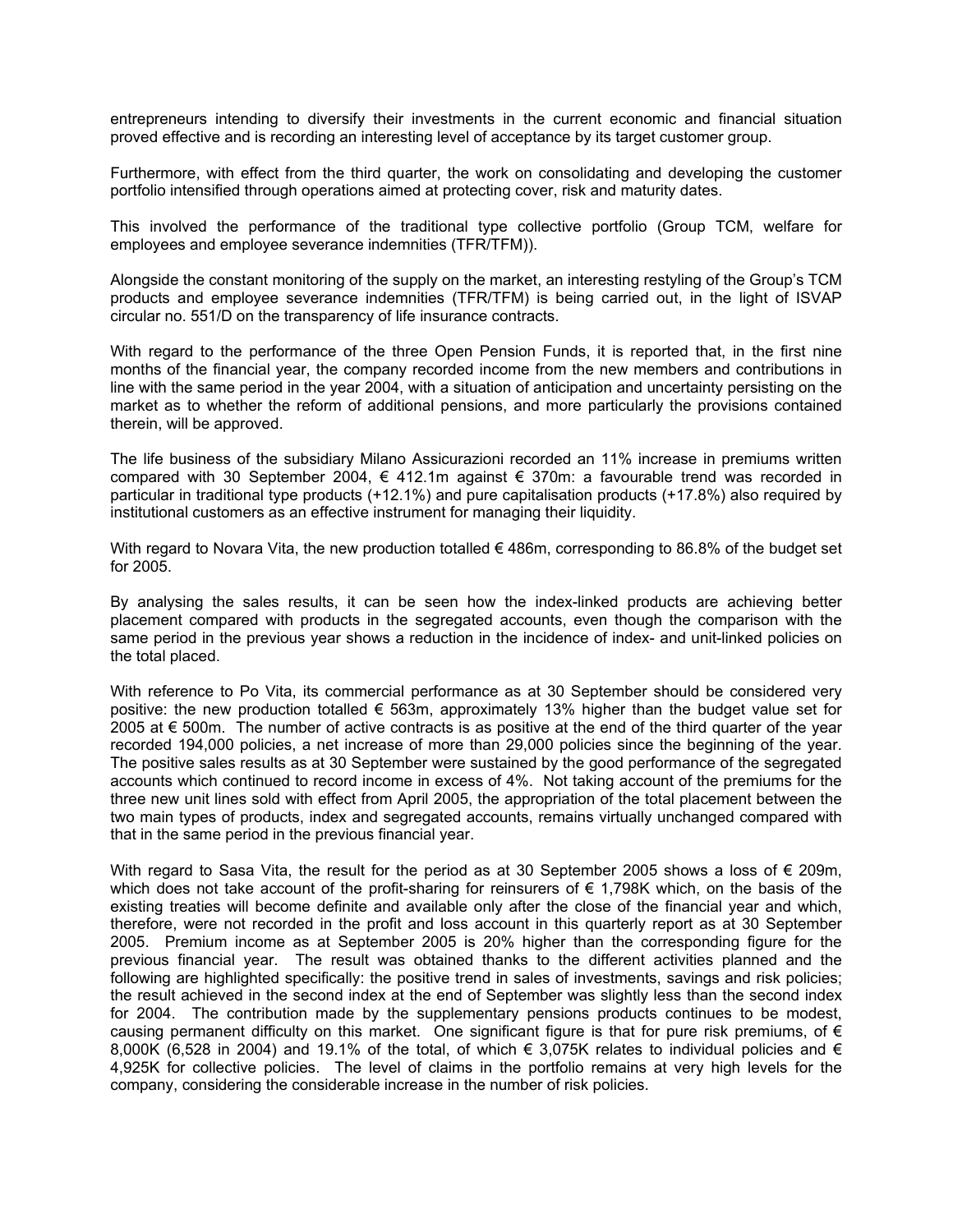entrepreneurs intending to diversify their investments in the current economic and financial situation proved effective and is recording an interesting level of acceptance by its target customer group.

Furthermore, with effect from the third quarter, the work on consolidating and developing the customer portfolio intensified through operations aimed at protecting cover, risk and maturity dates.

This involved the performance of the traditional type collective portfolio (Group TCM, welfare for employees and employee severance indemnities (TFR/TFM)).

Alongside the constant monitoring of the supply on the market, an interesting restyling of the Group's TCM products and employee severance indemnities (TFR/TFM) is being carried out, in the light of ISVAP circular no. 551/D on the transparency of life insurance contracts.

With regard to the performance of the three Open Pension Funds, it is reported that, in the first nine months of the financial year, the company recorded income from the new members and contributions in line with the same period in the year 2004, with a situation of anticipation and uncertainty persisting on the market as to whether the reform of additional pensions, and more particularly the provisions contained therein, will be approved.

The life business of the subsidiary Milano Assicurazioni recorded an 11% increase in premiums written compared with 30 September 2004, € 412.1m against € 370m: a favourable trend was recorded in particular in traditional type products (+12.1%) and pure capitalisation products (+17.8%) also required by institutional customers as an effective instrument for managing their liquidity.

With regard to Novara Vita, the new production totalled  $\epsilon$  486m, corresponding to 86.8% of the budget set for 2005.

By analysing the sales results, it can be seen how the index-linked products are achieving better placement compared with products in the segregated accounts, even though the comparison with the same period in the previous year shows a reduction in the incidence of index- and unit-linked policies on the total placed.

With reference to Po Vita, its commercial performance as at 30 September should be considered very positive: the new production totalled € 563m, approximately 13% higher than the budget value set for 2005 at  $\epsilon$  500m. The number of active contracts is as positive at the end of the third quarter of the year recorded 194,000 policies, a net increase of more than 29,000 policies since the beginning of the year. The positive sales results as at 30 September were sustained by the good performance of the segregated accounts which continued to record income in excess of 4%. Not taking account of the premiums for the three new unit lines sold with effect from April 2005, the appropriation of the total placement between the two main types of products, index and segregated accounts, remains virtually unchanged compared with that in the same period in the previous financial year.

With regard to Sasa Vita, the result for the period as at 30 September 2005 shows a loss of  $\epsilon$  209m, which does not take account of the profit-sharing for reinsurers of  $\epsilon$  1,798K which, on the basis of the existing treaties will become definite and available only after the close of the financial year and which, therefore, were not recorded in the profit and loss account in this quarterly report as at 30 September 2005. Premium income as at September 2005 is 20% higher than the corresponding figure for the previous financial year. The result was obtained thanks to the different activities planned and the following are highlighted specifically: the positive trend in sales of investments, savings and risk policies; the result achieved in the second index at the end of September was slightly less than the second index for 2004. The contribution made by the supplementary pensions products continues to be modest, causing permanent difficulty on this market. One significant figure is that for pure risk premiums, of  $\epsilon$ 8,000K (6,528 in 2004) and 19.1% of the total, of which  $\epsilon$  3,075K relates to individual policies and  $\epsilon$ 4,925K for collective policies. The level of claims in the portfolio remains at very high levels for the company, considering the considerable increase in the number of risk policies.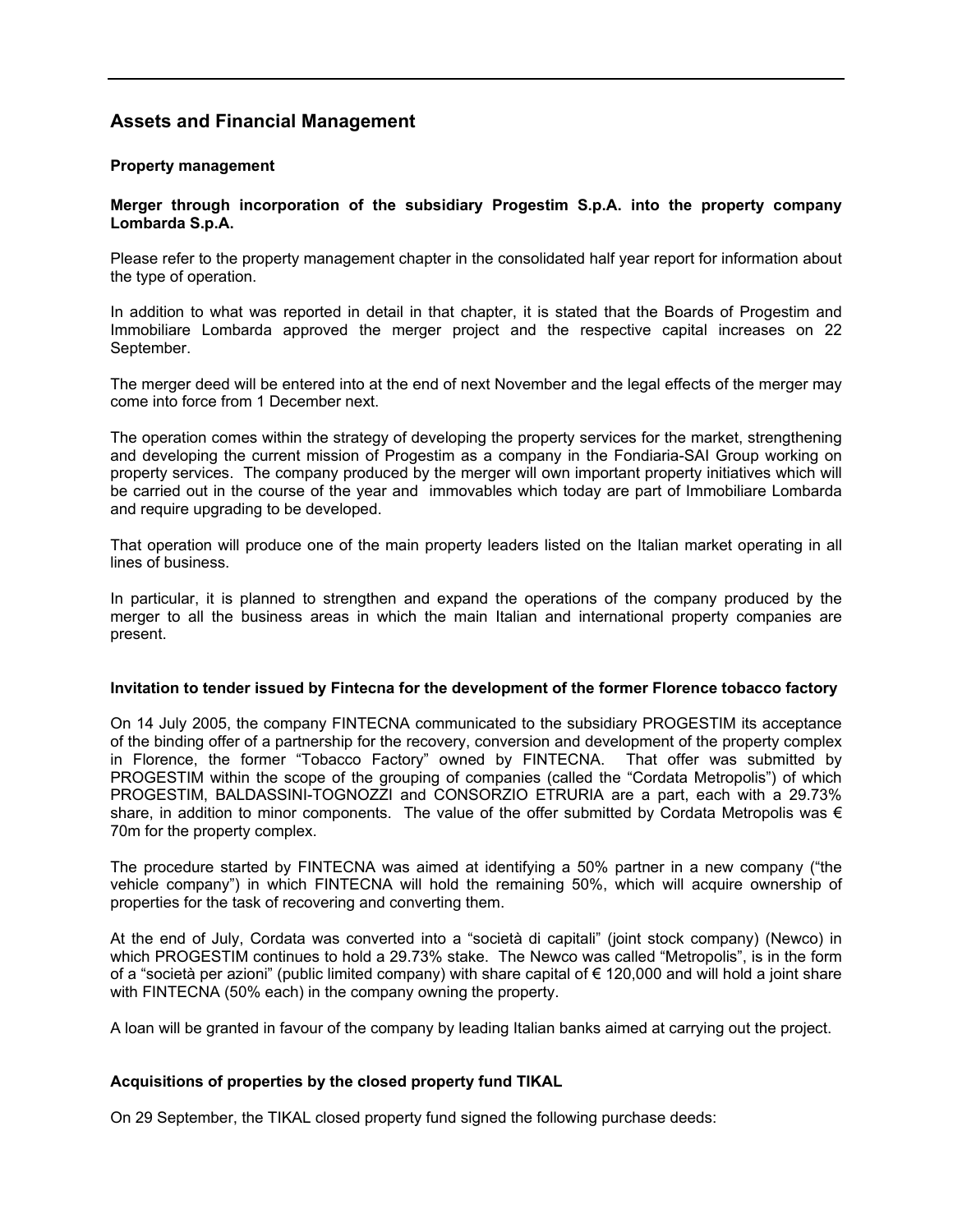# **Assets and Financial Management**

# **Property management**

# **Merger through incorporation of the subsidiary Progestim S.p.A. into the property company Lombarda S.p.A.**

Please refer to the property management chapter in the consolidated half year report for information about the type of operation.

In addition to what was reported in detail in that chapter, it is stated that the Boards of Progestim and Immobiliare Lombarda approved the merger project and the respective capital increases on 22 September.

The merger deed will be entered into at the end of next November and the legal effects of the merger may come into force from 1 December next.

The operation comes within the strategy of developing the property services for the market, strengthening and developing the current mission of Progestim as a company in the Fondiaria-SAI Group working on property services. The company produced by the merger will own important property initiatives which will be carried out in the course of the year and immovables which today are part of Immobiliare Lombarda and require upgrading to be developed.

That operation will produce one of the main property leaders listed on the Italian market operating in all lines of business.

In particular, it is planned to strengthen and expand the operations of the company produced by the merger to all the business areas in which the main Italian and international property companies are present.

# **Invitation to tender issued by Fintecna for the development of the former Florence tobacco factory**

On 14 July 2005, the company FINTECNA communicated to the subsidiary PROGESTIM its acceptance of the binding offer of a partnership for the recovery, conversion and development of the property complex in Florence, the former "Tobacco Factory" owned by FINTECNA. That offer was submitted by PROGESTIM within the scope of the grouping of companies (called the "Cordata Metropolis") of which PROGESTIM, BALDASSINI-TOGNOZZI and CONSORZIO ETRURIA are a part, each with a 29.73% share, in addition to minor components. The value of the offer submitted by Cordata Metropolis was  $\epsilon$ 70m for the property complex.

The procedure started by FINTECNA was aimed at identifying a 50% partner in a new company ("the vehicle company") in which FINTECNA will hold the remaining 50%, which will acquire ownership of properties for the task of recovering and converting them.

At the end of July, Cordata was converted into a "società di capitali" (joint stock company) (Newco) in which PROGESTIM continues to hold a 29.73% stake. The Newco was called "Metropolis", is in the form of a "società per azioni" (public limited company) with share capital of € 120,000 and will hold a joint share with FINTECNA (50% each) in the company owning the property.

A loan will be granted in favour of the company by leading Italian banks aimed at carrying out the project.

# **Acquisitions of properties by the closed property fund TIKAL**

On 29 September, the TIKAL closed property fund signed the following purchase deeds: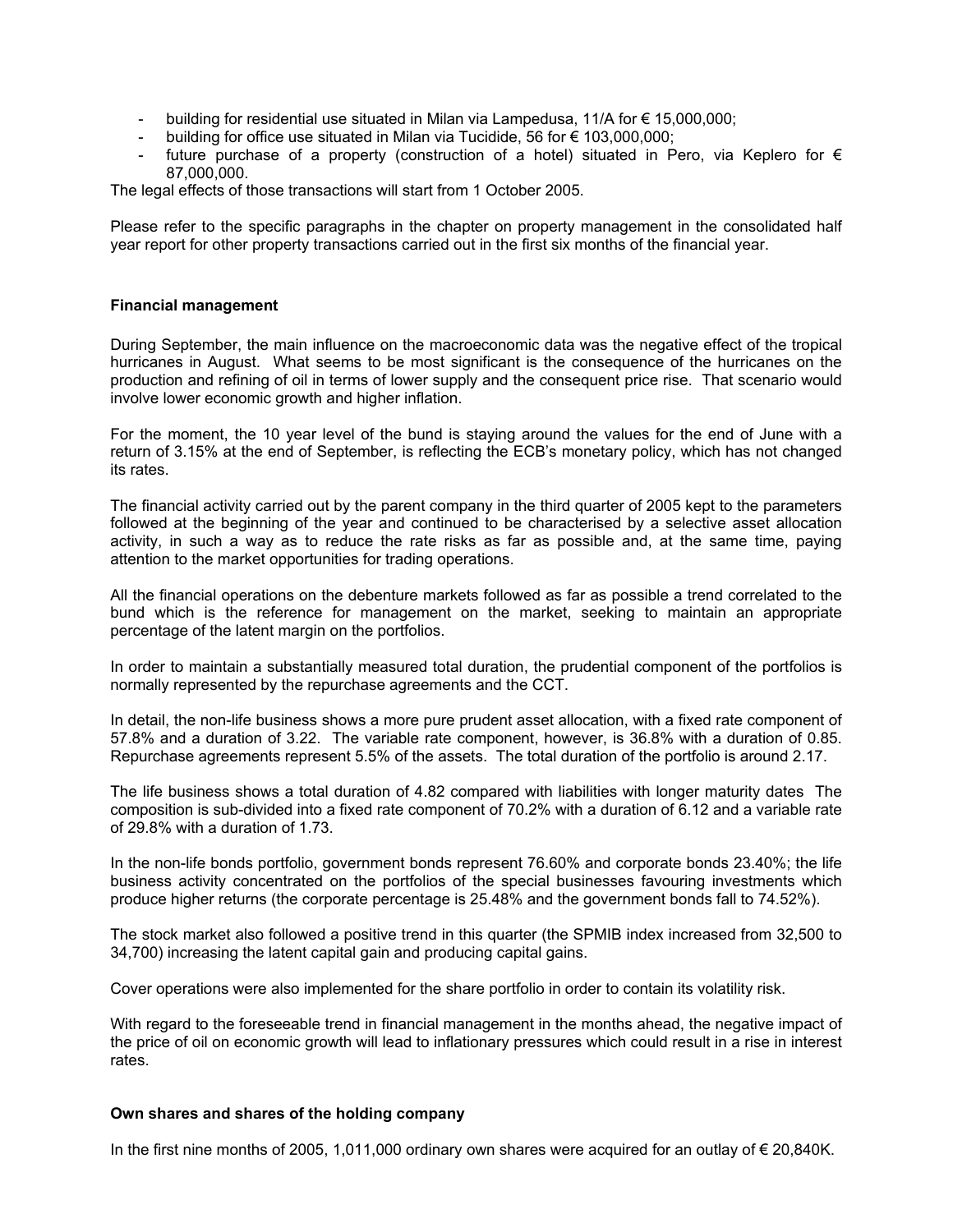- building for residential use situated in Milan via Lampedusa, 11/A for  $\epsilon$  15,000,000;
- building for office use situated in Milan via Tucidide, 56 for € 103,000,000;
- future purchase of a property (construction of a hotel) situated in Pero, via Keplero for  $\epsilon$ 87,000,000.

The legal effects of those transactions will start from 1 October 2005.

Please refer to the specific paragraphs in the chapter on property management in the consolidated half year report for other property transactions carried out in the first six months of the financial year.

#### **Financial management**

During September, the main influence on the macroeconomic data was the negative effect of the tropical hurricanes in August. What seems to be most significant is the consequence of the hurricanes on the production and refining of oil in terms of lower supply and the consequent price rise. That scenario would involve lower economic growth and higher inflation.

For the moment, the 10 year level of the bund is staying around the values for the end of June with a return of 3.15% at the end of September, is reflecting the ECB's monetary policy, which has not changed its rates.

The financial activity carried out by the parent company in the third quarter of 2005 kept to the parameters followed at the beginning of the year and continued to be characterised by a selective asset allocation activity, in such a way as to reduce the rate risks as far as possible and, at the same time, paying attention to the market opportunities for trading operations.

All the financial operations on the debenture markets followed as far as possible a trend correlated to the bund which is the reference for management on the market, seeking to maintain an appropriate percentage of the latent margin on the portfolios.

In order to maintain a substantially measured total duration, the prudential component of the portfolios is normally represented by the repurchase agreements and the CCT.

In detail, the non-life business shows a more pure prudent asset allocation, with a fixed rate component of 57.8% and a duration of 3.22. The variable rate component, however, is 36.8% with a duration of 0.85. Repurchase agreements represent 5.5% of the assets. The total duration of the portfolio is around 2.17.

The life business shows a total duration of 4.82 compared with liabilities with longer maturity dates The composition is sub-divided into a fixed rate component of 70.2% with a duration of 6.12 and a variable rate of 29.8% with a duration of 1.73.

In the non-life bonds portfolio, government bonds represent 76.60% and corporate bonds 23.40%; the life business activity concentrated on the portfolios of the special businesses favouring investments which produce higher returns (the corporate percentage is 25.48% and the government bonds fall to 74.52%).

The stock market also followed a positive trend in this quarter (the SPMIB index increased from 32,500 to 34,700) increasing the latent capital gain and producing capital gains.

Cover operations were also implemented for the share portfolio in order to contain its volatility risk.

With regard to the foreseeable trend in financial management in the months ahead, the negative impact of the price of oil on economic growth will lead to inflationary pressures which could result in a rise in interest rates.

#### **Own shares and shares of the holding company**

In the first nine months of 2005, 1,011,000 ordinary own shares were acquired for an outlay of € 20,840K.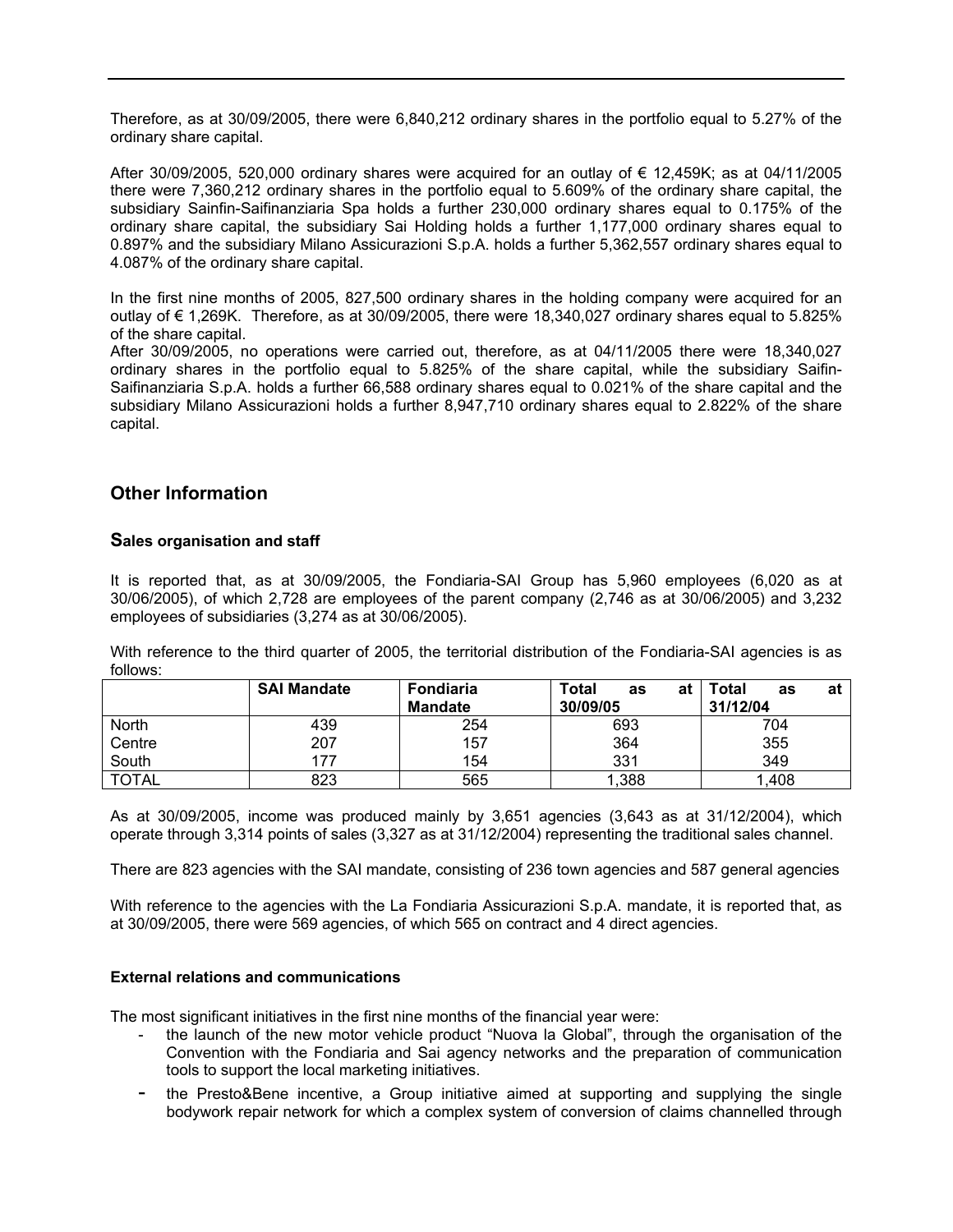Therefore, as at 30/09/2005, there were 6,840,212 ordinary shares in the portfolio equal to 5.27% of the ordinary share capital.

After 30/09/2005, 520,000 ordinary shares were acquired for an outlay of  $\epsilon$  12,459K; as at 04/11/2005 there were 7,360,212 ordinary shares in the portfolio equal to 5.609% of the ordinary share capital, the subsidiary Sainfin-Saifinanziaria Spa holds a further 230,000 ordinary shares equal to 0.175% of the ordinary share capital, the subsidiary Sai Holding holds a further 1,177,000 ordinary shares equal to 0.897% and the subsidiary Milano Assicurazioni S.p.A. holds a further 5,362,557 ordinary shares equal to 4.087% of the ordinary share capital.

In the first nine months of 2005, 827,500 ordinary shares in the holding company were acquired for an outlay of € 1,269K. Therefore, as at 30/09/2005, there were 18,340,027 ordinary shares equal to 5.825% of the share capital.

After 30/09/2005, no operations were carried out, therefore, as at 04/11/2005 there were 18,340,027 ordinary shares in the portfolio equal to 5.825% of the share capital, while the subsidiary Saifin-Saifinanziaria S.p.A. holds a further 66,588 ordinary shares equal to 0.021% of the share capital and the subsidiary Milano Assicurazioni holds a further 8,947,710 ordinary shares equal to 2.822% of the share capital.

# **Other Information**

# **Sales organisation and staff**

It is reported that, as at 30/09/2005, the Fondiaria-SAI Group has 5,960 employees (6,020 as at 30/06/2005), of which 2,728 are employees of the parent company (2,746 as at 30/06/2005) and 3,232 employees of subsidiaries (3,274 as at 30/06/2005).

With reference to the third quarter of 2005, the territorial distribution of the Fondiaria-SAI agencies is as follows:

|              | <b>SAI Mandate</b> | Fondiaria<br><b>Mandate</b> | <b>Total</b><br>at<br>as<br>30/09/05 | Total<br>at<br>as<br>31/12/04 |
|--------------|--------------------|-----------------------------|--------------------------------------|-------------------------------|
| North        | 439                | 254                         | 693                                  | 704                           |
| Centre       | 207                | 157                         | 364                                  | 355                           |
| South        | 177                | 154                         | 331                                  | 349                           |
| <b>TOTAL</b> | 823                | 565                         | 1,388                                | A08,                          |

As at 30/09/2005, income was produced mainly by 3,651 agencies (3,643 as at 31/12/2004), which operate through 3,314 points of sales (3,327 as at 31/12/2004) representing the traditional sales channel.

There are 823 agencies with the SAI mandate, consisting of 236 town agencies and 587 general agencies

With reference to the agencies with the La Fondiaria Assicurazioni S.p.A. mandate, it is reported that, as at 30/09/2005, there were 569 agencies, of which 565 on contract and 4 direct agencies.

# **External relations and communications**

The most significant initiatives in the first nine months of the financial year were:

- the launch of the new motor vehicle product "Nuova la Global", through the organisation of the Convention with the Fondiaria and Sai agency networks and the preparation of communication tools to support the local marketing initiatives.
- the Presto&Bene incentive, a Group initiative aimed at supporting and supplying the single bodywork repair network for which a complex system of conversion of claims channelled through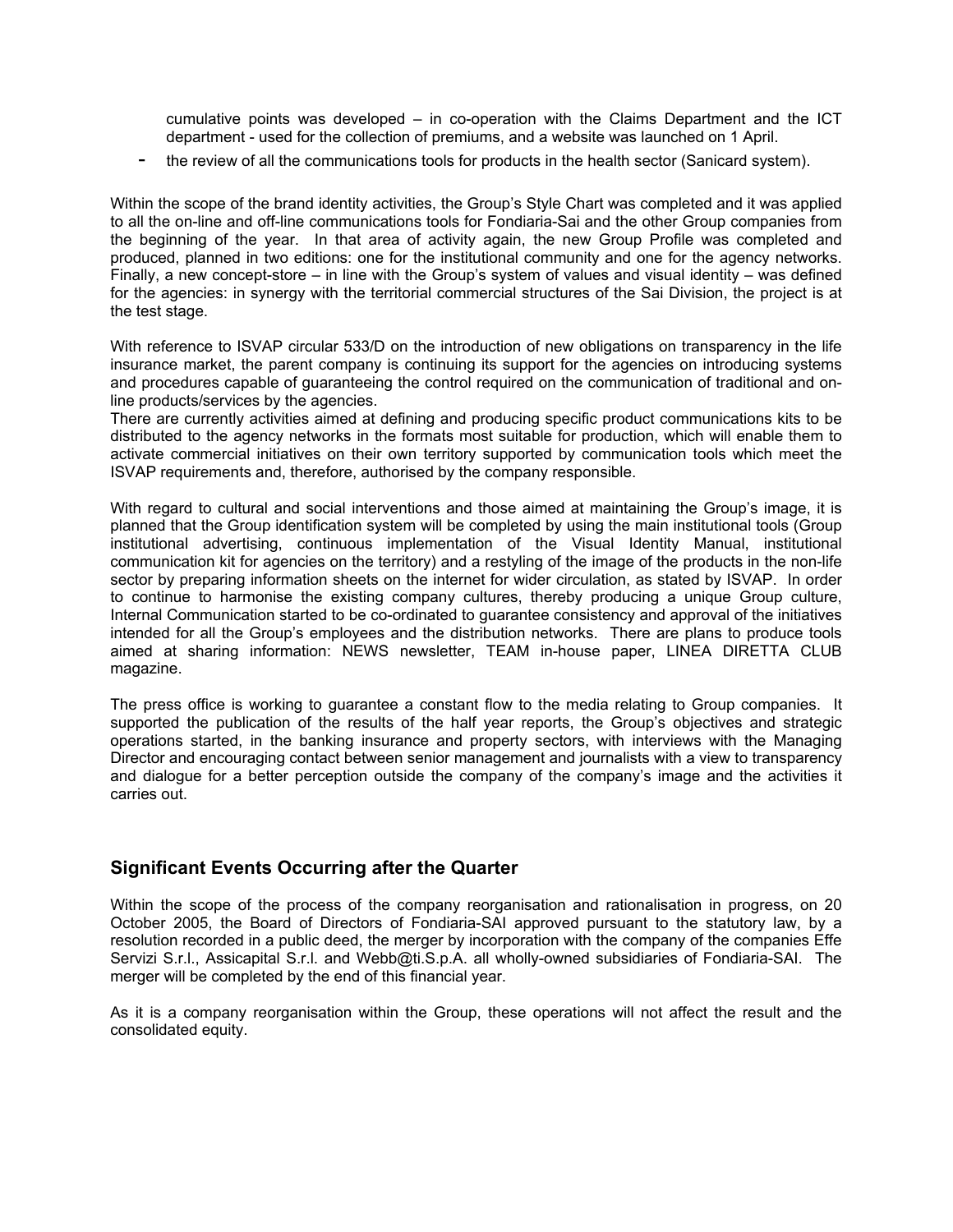cumulative points was developed – in co-operation with the Claims Department and the ICT department - used for the collection of premiums, and a website was launched on 1 April.

the review of all the communications tools for products in the health sector (Sanicard system).

Within the scope of the brand identity activities, the Group's Style Chart was completed and it was applied to all the on-line and off-line communications tools for Fondiaria-Sai and the other Group companies from the beginning of the year. In that area of activity again, the new Group Profile was completed and produced, planned in two editions: one for the institutional community and one for the agency networks. Finally, a new concept-store – in line with the Group's system of values and visual identity – was defined for the agencies: in synergy with the territorial commercial structures of the Sai Division, the project is at the test stage.

With reference to ISVAP circular 533/D on the introduction of new obligations on transparency in the life insurance market, the parent company is continuing its support for the agencies on introducing systems and procedures capable of guaranteeing the control required on the communication of traditional and online products/services by the agencies.

There are currently activities aimed at defining and producing specific product communications kits to be distributed to the agency networks in the formats most suitable for production, which will enable them to activate commercial initiatives on their own territory supported by communication tools which meet the ISVAP requirements and, therefore, authorised by the company responsible.

With regard to cultural and social interventions and those aimed at maintaining the Group's image, it is planned that the Group identification system will be completed by using the main institutional tools (Group institutional advertising, continuous implementation of the Visual Identity Manual, institutional communication kit for agencies on the territory) and a restyling of the image of the products in the non-life sector by preparing information sheets on the internet for wider circulation, as stated by ISVAP. In order to continue to harmonise the existing company cultures, thereby producing a unique Group culture, Internal Communication started to be co-ordinated to guarantee consistency and approval of the initiatives intended for all the Group's employees and the distribution networks. There are plans to produce tools aimed at sharing information: NEWS newsletter, TEAM in-house paper, LINEA DIRETTA CLUB magazine.

The press office is working to guarantee a constant flow to the media relating to Group companies. It supported the publication of the results of the half year reports, the Group's objectives and strategic operations started, in the banking insurance and property sectors, with interviews with the Managing Director and encouraging contact between senior management and journalists with a view to transparency and dialogue for a better perception outside the company of the company's image and the activities it carries out.

# **Significant Events Occurring after the Quarter**

Within the scope of the process of the company reorganisation and rationalisation in progress, on 20 October 2005, the Board of Directors of Fondiaria-SAI approved pursuant to the statutory law, by a resolution recorded in a public deed, the merger by incorporation with the company of the companies Effe Servizi S.r.l., Assicapital S.r.l. and Webb@ti.S.p.A. all wholly-owned subsidiaries of Fondiaria-SAI. The merger will be completed by the end of this financial year.

As it is a company reorganisation within the Group, these operations will not affect the result and the consolidated equity.